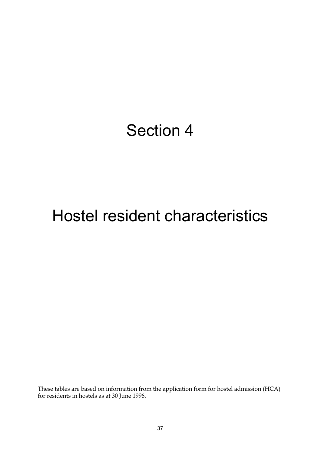## Section 4

# Hostel resident characteristics

These tables are based on information from the application form for hostel admission (HCA) for residents in hostels as at 30 June 1996.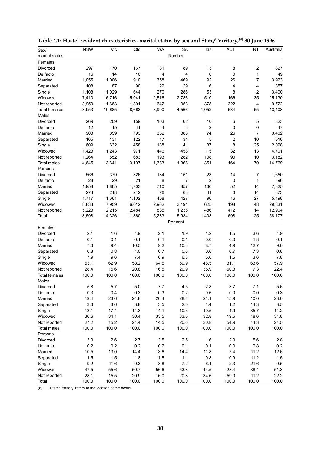| Sex/                 | <b>NSW</b> | Vic    | Qld    | <b>WA</b> | <b>SA</b> | Tas            | ACT              | <b>NT</b>               | Australia |
|----------------------|------------|--------|--------|-----------|-----------|----------------|------------------|-------------------------|-----------|
| marital status       |            |        |        |           | Number    |                |                  |                         |           |
| Females              |            |        |        |           |           |                |                  |                         |           |
| Divorced             | 297        | 170    | 167    | 81        | 89        | 13             | 8                | $\overline{\mathbf{c}}$ | 827       |
| De facto             | 16         | 14     | 10     | 4         | 4         | 0              | 0                | $\mathbf{1}$            | 49        |
| Married              | 1,055      | 1,006  | 910    | 358       | 469       | 92             | 26               | $\overline{7}$          | 3,923     |
| Separated            | 108        | 87     | 90     | 29        | 29        | 6              | 4                | $\overline{4}$          | 357       |
| Single               | 1,108      | 1,029  | 644    | 270       | 286       | 53             | 8                | $\overline{c}$          | 3,400     |
| Widowed              | 7,410      | 6,716  | 5,041  | 2,516     | 2,736     | 510            | 166              | 35                      | 25,130    |
| Not reported         | 3,959      | 1,663  | 1,801  | 642       | 953       | 378            | 322              | $\overline{4}$          | 9,722     |
| <b>Total females</b> | 13,953     | 10,685 | 8,663  | 3,900     | 4,566     | 1,052          | 534              | 55                      | 43,408    |
| Males                |            |        |        |           |           |                |                  |                         |           |
| Divorced             | 269        | 209    | 159    | 103       | 62        | 10             | 6                | 5                       | 823       |
| De facto             | 12         | 15     | 11     | 4         | 3         | $\overline{c}$ | 0                | $\mathsf 0$             | 47        |
| Married              | 903        | 859    | 793    | 352       | 388       | 74             | 26               | $\overline{7}$          | 3,402     |
| Separated            | 165        | 131    | 122    | 47        | 34        | 5              | $\boldsymbol{2}$ | 10                      | 516       |
| Single               | 609        | 632    | 458    | 188       | 141       | 37             | 8                | 25                      | 2,098     |
| Widowed              | 1,423      | 1,243  | 971    | 446       | 458       | 115            | 32               | 13                      | 4,701     |
| Not reported         | 1,264      | 552    | 683    | 193       | 282       | 108            | 90               | 10                      | 3,182     |
| <b>Total males</b>   | 4,645      | 3,641  | 3,197  | 1,333     | 1,368     | 351            | 164              | 70                      | 14,769    |
| Persons              |            |        |        |           |           |                |                  |                         |           |
| Divorced             | 566        | 379    | 326    | 184       | 151       | 23             | 14               | 7                       | 1,650     |
| De facto             | 28         | 29     | 21     | 8         | 7         | $\overline{c}$ | $\pmb{0}$        | $\mathbf{1}$            | 96        |
| Married              | 1,958      | 1,865  | 1,703  | 710       | 857       | 166            | 52               | 14                      | 7,325     |
| Separated            | 273        | 218    | 212    | 76        | 63        | 11             | 6                | 14                      | 873       |
| Single               | 1,717      | 1,661  | 1,102  | 458       | 427       | 90             | 16               | 27                      | 5,498     |
| Widowed              | 8,833      | 7,959  | 6,012  | 2,962     | 3,194     | 625            | 198              | 48                      | 29,831    |
| Not reported         | 5,223      | 2,215  | 2,484  | 835       | 1,235     | 486            | 412              | 14                      | 12,904    |
| Total                | 18,598     | 14,326 | 11,860 | 5,233     | 5,934     | 1,403          | 698              | 125                     | 58,177    |
|                      |            |        |        |           | Per cent  |                |                  |                         |           |
| Females              |            |        |        |           |           |                |                  |                         |           |
| Divorced             | 2.1        | 1.6    | 1.9    | 2.1       | 1.9       | 1.2            | 1.5              | 3.6                     | 1.9       |
| De facto             | 0.1        | 0.1    | 0.1    | 0.1       | 0.1       | 0.0            | 0.0              | 1.8                     | 0.1       |
| Married              | 7.6        | 9.4    | 10.5   | 9.2       | 10.3      | 8.7            | 4.9              | 12.7                    | 9.0       |
| Separated            | 0.8        | 0.8    | 1.0    | 0.7       | 0.6       | 0.6            | 0.7              | 7.3                     | 0.8       |
| Single               | 7.9        | 9.6    | 7.4    | 6.9       | 6.3       | 5.0            | 1.5              | 3.6                     | 7.8       |
| Widowed              | 53.1       | 62.9   | 58.2   | 64.5      | 59.9      | 48.5           | 31.1             | 63.6                    | 57.9      |
| Not reported         | 28.4       | 15.6   | 20.8   | 16.5      | 20.9      | 35.9           | 60.3             | 7.3                     | 22.4      |
| <b>Total females</b> | 100.0      | 100.0  | 100.0  | 100.0     | 100.0     | 100.0          | 100.0            | 100.0                   | 100.0     |
| Males                |            |        |        |           |           |                |                  |                         |           |
| Divorced             | 5.8        | 5.7    | 5.0    | 7.7       | 4.5       | 2.8            | 3.7              | 7.1                     | 5.6       |
| De facto             | 0.3        | 0.4    | 0.3    | 0.3       | 0.2       | 0.6            | $0.0\,$          | $0.0\,$                 | 0.3       |
| Married              | 19.4       | 23.6   | 24.8   | 26.4      | 28.4      | 21.1           | 15.9             | 10.0                    | 23.0      |
| Separated            | 3.6        | 3.6    | 3.8    | 3.5       | 2.5       | 1.4            | $1.2$            | 14.3                    | 3.5       |
| Single               | 13.1       | 17.4   | 14.3   | 14.1      | 10.3      | 10.5           | 4.9              | 35.7                    | 14.2      |
| Widowed              | 30.6       | 34.1   | 30.4   | 33.5      | 33.5      | 32.8           | 19.5             | 18.6                    | 31.8      |
| Not reported         | 27.2       | 15.2   | 21.4   | 14.5      | 20.6      | 30.8           | 54.9             | 14.3                    | 21.5      |
| <b>Total males</b>   | 100.0      | 100.0  | 100.0  | 100.0     | 100.0     | 100.0          | 100.0            | 100.0                   | 100.0     |
| Persons              |            |        |        |           |           |                |                  |                         |           |
| Divorced             | 3.0        | 2.6    | 2.7    | 3.5       | 2.5       | 1.6            | 2.0              | 5.6                     | 2.8       |
| De facto             | 0.2        | 0.2    | 0.2    | 0.2       | 0.1       | 0.1            | $0.0\,$          | 0.8                     | 0.2       |
| Married              | 10.5       | 13.0   | 14.4   | 13.6      | 14.4      | 11.8           | 7.4              | 11.2                    | 12.6      |
| Separated            | 1.5        | 1.5    | 1.8    | 1.5       | 1.1       | $0.8\,$        | 0.9              | 11.2                    | 1.5       |
| Single               | 9.2        | 11.6   | 9.3    | 8.8       | 7.2       | 6.4            | 2.3              | 21.6                    | 9.5       |
| Widowed              | 47.5       | 55.6   | 50.7   | 56.6      | 53.8      | 44.5           | 28.4             | 38.4                    | 51.3      |
| Not reported         | 28.1       | 15.5   | 20.9   | 16.0      | 20.8      | 34.6           | 59.0             | 11.2                    | 22.2      |
| Total                | 100.0      | 100.0  | 100.0  | 100.0     | 100.0     | 100.0          | 100.0            | 100.0                   | 100.0     |

**Table 4.1: Hostel resident characteristics, marital status by sex and State/Territory,(a) 30 June 1996**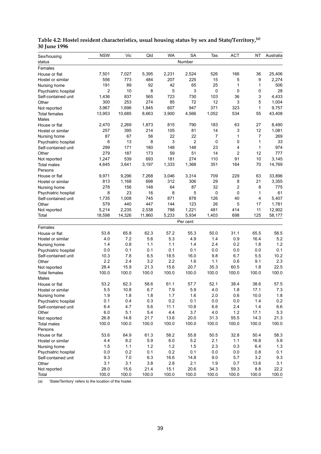| Number<br>status<br>Females<br>25,406<br>7,501<br>7,027<br>5,395<br>2,231<br>2,524<br>526<br>166<br>36<br>House or flat<br>773<br>207<br>225<br>5<br>9<br>556<br>484<br>15<br>2,274<br>Hostel or similar<br>89<br>92<br>65<br>25<br>1<br>191<br>42<br>1<br>506<br>Nursing home<br>$\overline{2}$<br>5<br>0<br>10<br>8<br>3<br>0<br>0<br>28<br>Psychiatric hospital<br>837<br>565<br>723<br>730<br>103<br>3<br>4,433<br>1,436<br>36<br>Self-contained unit<br>3<br>300<br>253<br>274<br>72<br>12<br>5<br>85<br>1,004<br>Other<br>3,967<br>1,696<br>607<br>947<br>371<br>323<br>1<br>1,845<br>9,757<br>Not reported<br>10,685<br>8,663<br>3,900<br>4,566<br>1,052<br>534<br>55<br>43,408<br>13,953<br><b>Total females</b><br>Males<br>2,269<br>790<br>183<br>63<br>27<br>2,470<br>1,873<br>815<br>8,490<br>House or flat<br>395<br>214<br>105<br>81<br>14<br>3<br>12<br>257<br>1,081<br>Hostel or similar<br>87<br>67<br>22<br>22<br>1<br>269<br>56<br>7<br>7<br>Nursing home<br>0<br>6<br>13<br>8<br>3<br>$\overline{2}$<br>0<br>1<br>33<br>Psychiatric hospital<br>299<br>171<br>180<br>148<br>148<br>23<br>4<br>1<br>974<br>Self-contained unit<br>$\overline{2}$<br>279<br>187<br>51<br>14<br>12<br>777<br>173<br>59<br>Other<br>1,247<br>539<br>693<br>181<br>274<br>110<br>91<br>10<br>3,145<br>Not reported<br>1,368<br>70<br>4,645<br>3,641<br>3,197<br>1,333<br>351<br>164<br>14,769<br><b>Total males</b><br>Persons<br>229<br>33,896<br>9,971<br>9,296<br>7,268<br>3,046<br>3,314<br>709<br>63<br>House or flat<br>698<br>312<br>306<br>29<br>21<br>813<br>1,168<br>8<br>3,355<br>Hostel or similar<br>$\overline{c}$<br>278<br>87<br>32<br>8<br>156<br>148<br>64<br>775<br>Nursing home<br>8<br>23<br>8<br>5<br>0<br>0<br>61<br>16<br>1<br>Psychiatric hospital<br>1,008<br>126<br>4<br>5,407<br>1,735<br>745<br>871<br>878<br>40<br>Self-contained unit<br>579<br>447<br>123<br>26<br>440<br>144<br>5<br>17<br>1,781<br>Other<br>5,214<br>2,235<br>2,538<br>788<br>1,221<br>481<br>11<br>12,902<br>414<br>Not reported<br>14,326<br>5,233<br>5,934<br>125<br>18,598<br>11,860<br>1,403<br>698<br>58,177<br>Total<br>Per cent<br>Females<br>53.8<br>65.8<br>62.3<br>57.2<br>55.3<br>50.0<br>31.1<br>65.5<br>58.5<br>House or flat<br>5.2<br>7.2<br>5.6<br>5.3<br>4.9<br>16.4<br>4.0<br>1.4<br>0.9<br>Hostel or similar<br>0.8<br>1.4<br>2.4<br>1.2<br>1.4<br>1.1<br>1.1<br>0.2<br>1.8<br>Nursing home<br>0.0<br>0.1<br>0.0<br>0.1<br>0.1<br>0.1<br>0.1<br>0.0<br>0.0<br>Psychiatric hospital<br>7.8<br>5.5<br>10.2<br>10.3<br>6.5<br>18.5<br>16.0<br>9.8<br>6.7<br>Self-contained unit<br>2.2<br>2.4<br>3.2<br>2.2<br>1.6<br>9.1<br>2.3<br>1.1<br>0.6<br>Other<br>28.4<br>15.9<br>15.6<br>22.5<br>21.3<br>20.7<br>35.3<br>60.5<br>1.8<br>Not reported<br>100.0<br>100.0<br>100.0<br>100.0<br>100.0<br>100.0<br>100.0<br>100.0<br>100.0<br><b>Total females</b><br>Males<br>53.2<br>62.3<br>58.6<br>61.1<br>57.7<br>52.1<br>38.4<br>38.6<br>57.5<br>House or flat<br>5.5<br>10.8<br>7.9<br>5.9<br>4.0<br>1.8<br>7.3<br>6.7<br>17.1<br>Hostel or similar<br>Nursing home<br>1.9<br>1.8<br>1.8<br>1.7<br>1.6<br>2.0<br>0.6<br>10.0<br>1.8<br>0.2<br>0.2<br>0.1<br>0.4<br>0.3<br>0.1<br>$0.0\,$<br>0.0<br>1.4<br>Psychiatric hospital<br>6.4<br>4.7<br>5.6<br>11.1<br>6.6<br>2.4<br>1.4<br>6.6<br>10.8<br>Self-contained unit<br>5.3<br>6.0<br>5.1<br>5.4<br>4.4<br>3.7<br>4.0<br>1.2<br>17.1<br>Other<br>26.8<br>14.8<br>21.7<br>13.6<br>20.0<br>31.3<br>55.5<br>14.3<br>21.3<br>Not reported<br>100.0<br>100.0<br>100.0<br>100.0<br>100.0<br>100.0<br>100.0<br>100.0<br>100.0<br><b>Total males</b><br>Persons<br>64.9<br>55.8<br>50.4<br>58.3<br>53.6<br>61.3<br>58.2<br>50.5<br>32.8<br>House or flat<br>8.2<br>5.9<br>6.0<br>2.1<br>1.1<br>16.8<br>4.4<br>5.2<br>5.8<br>Hostel or similar<br>1.5<br>1.1<br>1.2<br>1.2<br>1.5<br>2.3<br>0.3<br>6.4<br>1.3<br>Nursing home<br>0.0<br>0.2<br>0.2<br>0.1<br>0.8<br>0.1<br>0.0<br>0.0<br>0.1<br>Psychiatric hospital<br>16.6<br>9.3<br>7.0<br>6.3<br>14.8<br>9.0<br>5.7<br>3.2<br>9.3<br>Self-contained unit<br>3.1<br>3.1<br>3.8<br>2.8<br>2.1<br>3.1<br>1.9<br>0.7<br>13.6<br>Other<br>28.0<br>15.6<br>15.1<br>21.4<br>20.6<br>34.3<br>59.3<br>8.8<br>22.2<br>Not reported<br>Total<br>100.0<br>100.0<br>100.0<br>100.0<br>100.0<br>100.0<br>100.0<br>100.0<br>100.0 | Sex/housing | <b>NSW</b> | Vic | Qld | <b>WA</b> | <b>SA</b> | Tas | <b>ACT</b> | NT | Australia |
|-------------------------------------------------------------------------------------------------------------------------------------------------------------------------------------------------------------------------------------------------------------------------------------------------------------------------------------------------------------------------------------------------------------------------------------------------------------------------------------------------------------------------------------------------------------------------------------------------------------------------------------------------------------------------------------------------------------------------------------------------------------------------------------------------------------------------------------------------------------------------------------------------------------------------------------------------------------------------------------------------------------------------------------------------------------------------------------------------------------------------------------------------------------------------------------------------------------------------------------------------------------------------------------------------------------------------------------------------------------------------------------------------------------------------------------------------------------------------------------------------------------------------------------------------------------------------------------------------------------------------------------------------------------------------------------------------------------------------------------------------------------------------------------------------------------------------------------------------------------------------------------------------------------------------------------------------------------------------------------------------------------------------------------------------------------------------------------------------------------------------------------------------------------------------------------------------------------------------------------------------------------------------------------------------------------------------------------------------------------------------------------------------------------------------------------------------------------------------------------------------------------------------------------------------------------------------------------------------------------------------------------------------------------------------------------------------------------------------------------------------------------------------------------------------------------------------------------------------------------------------------------------------------------------------------------------------------------------------------------------------------------------------------------------------------------------------------------------------------------------------------------------------------------------------------------------------------------------------------------------------------------------------------------------------------------------------------------------------------------------------------------------------------------------------------------------------------------------------------------------------------------------------------------------------------------------------------------------------------------------------------------------------------------------------------------------------------------------------------------------------------------------------------------------------------------------------------------------------------------------------------------------------------------------------------------------------------------------------------------------------------------------------------------------------------------------------------------------------------------------------------------------------------------------------------------------------------------------------------------------------------------------------------------------------------------------------------|-------------|------------|-----|-----|-----------|-----------|-----|------------|----|-----------|
|                                                                                                                                                                                                                                                                                                                                                                                                                                                                                                                                                                                                                                                                                                                                                                                                                                                                                                                                                                                                                                                                                                                                                                                                                                                                                                                                                                                                                                                                                                                                                                                                                                                                                                                                                                                                                                                                                                                                                                                                                                                                                                                                                                                                                                                                                                                                                                                                                                                                                                                                                                                                                                                                                                                                                                                                                                                                                                                                                                                                                                                                                                                                                                                                                                                                                                                                                                                                                                                                                                                                                                                                                                                                                                                                                                                                                                                                                                                                                                                                                                                                                                                                                                                                                                                                                                                               |             |            |     |     |           |           |     |            |    |           |
|                                                                                                                                                                                                                                                                                                                                                                                                                                                                                                                                                                                                                                                                                                                                                                                                                                                                                                                                                                                                                                                                                                                                                                                                                                                                                                                                                                                                                                                                                                                                                                                                                                                                                                                                                                                                                                                                                                                                                                                                                                                                                                                                                                                                                                                                                                                                                                                                                                                                                                                                                                                                                                                                                                                                                                                                                                                                                                                                                                                                                                                                                                                                                                                                                                                                                                                                                                                                                                                                                                                                                                                                                                                                                                                                                                                                                                                                                                                                                                                                                                                                                                                                                                                                                                                                                                                               |             |            |     |     |           |           |     |            |    |           |
|                                                                                                                                                                                                                                                                                                                                                                                                                                                                                                                                                                                                                                                                                                                                                                                                                                                                                                                                                                                                                                                                                                                                                                                                                                                                                                                                                                                                                                                                                                                                                                                                                                                                                                                                                                                                                                                                                                                                                                                                                                                                                                                                                                                                                                                                                                                                                                                                                                                                                                                                                                                                                                                                                                                                                                                                                                                                                                                                                                                                                                                                                                                                                                                                                                                                                                                                                                                                                                                                                                                                                                                                                                                                                                                                                                                                                                                                                                                                                                                                                                                                                                                                                                                                                                                                                                                               |             |            |     |     |           |           |     |            |    |           |
|                                                                                                                                                                                                                                                                                                                                                                                                                                                                                                                                                                                                                                                                                                                                                                                                                                                                                                                                                                                                                                                                                                                                                                                                                                                                                                                                                                                                                                                                                                                                                                                                                                                                                                                                                                                                                                                                                                                                                                                                                                                                                                                                                                                                                                                                                                                                                                                                                                                                                                                                                                                                                                                                                                                                                                                                                                                                                                                                                                                                                                                                                                                                                                                                                                                                                                                                                                                                                                                                                                                                                                                                                                                                                                                                                                                                                                                                                                                                                                                                                                                                                                                                                                                                                                                                                                                               |             |            |     |     |           |           |     |            |    |           |
|                                                                                                                                                                                                                                                                                                                                                                                                                                                                                                                                                                                                                                                                                                                                                                                                                                                                                                                                                                                                                                                                                                                                                                                                                                                                                                                                                                                                                                                                                                                                                                                                                                                                                                                                                                                                                                                                                                                                                                                                                                                                                                                                                                                                                                                                                                                                                                                                                                                                                                                                                                                                                                                                                                                                                                                                                                                                                                                                                                                                                                                                                                                                                                                                                                                                                                                                                                                                                                                                                                                                                                                                                                                                                                                                                                                                                                                                                                                                                                                                                                                                                                                                                                                                                                                                                                                               |             |            |     |     |           |           |     |            |    |           |
|                                                                                                                                                                                                                                                                                                                                                                                                                                                                                                                                                                                                                                                                                                                                                                                                                                                                                                                                                                                                                                                                                                                                                                                                                                                                                                                                                                                                                                                                                                                                                                                                                                                                                                                                                                                                                                                                                                                                                                                                                                                                                                                                                                                                                                                                                                                                                                                                                                                                                                                                                                                                                                                                                                                                                                                                                                                                                                                                                                                                                                                                                                                                                                                                                                                                                                                                                                                                                                                                                                                                                                                                                                                                                                                                                                                                                                                                                                                                                                                                                                                                                                                                                                                                                                                                                                                               |             |            |     |     |           |           |     |            |    |           |
|                                                                                                                                                                                                                                                                                                                                                                                                                                                                                                                                                                                                                                                                                                                                                                                                                                                                                                                                                                                                                                                                                                                                                                                                                                                                                                                                                                                                                                                                                                                                                                                                                                                                                                                                                                                                                                                                                                                                                                                                                                                                                                                                                                                                                                                                                                                                                                                                                                                                                                                                                                                                                                                                                                                                                                                                                                                                                                                                                                                                                                                                                                                                                                                                                                                                                                                                                                                                                                                                                                                                                                                                                                                                                                                                                                                                                                                                                                                                                                                                                                                                                                                                                                                                                                                                                                                               |             |            |     |     |           |           |     |            |    |           |
|                                                                                                                                                                                                                                                                                                                                                                                                                                                                                                                                                                                                                                                                                                                                                                                                                                                                                                                                                                                                                                                                                                                                                                                                                                                                                                                                                                                                                                                                                                                                                                                                                                                                                                                                                                                                                                                                                                                                                                                                                                                                                                                                                                                                                                                                                                                                                                                                                                                                                                                                                                                                                                                                                                                                                                                                                                                                                                                                                                                                                                                                                                                                                                                                                                                                                                                                                                                                                                                                                                                                                                                                                                                                                                                                                                                                                                                                                                                                                                                                                                                                                                                                                                                                                                                                                                                               |             |            |     |     |           |           |     |            |    |           |
|                                                                                                                                                                                                                                                                                                                                                                                                                                                                                                                                                                                                                                                                                                                                                                                                                                                                                                                                                                                                                                                                                                                                                                                                                                                                                                                                                                                                                                                                                                                                                                                                                                                                                                                                                                                                                                                                                                                                                                                                                                                                                                                                                                                                                                                                                                                                                                                                                                                                                                                                                                                                                                                                                                                                                                                                                                                                                                                                                                                                                                                                                                                                                                                                                                                                                                                                                                                                                                                                                                                                                                                                                                                                                                                                                                                                                                                                                                                                                                                                                                                                                                                                                                                                                                                                                                                               |             |            |     |     |           |           |     |            |    |           |
|                                                                                                                                                                                                                                                                                                                                                                                                                                                                                                                                                                                                                                                                                                                                                                                                                                                                                                                                                                                                                                                                                                                                                                                                                                                                                                                                                                                                                                                                                                                                                                                                                                                                                                                                                                                                                                                                                                                                                                                                                                                                                                                                                                                                                                                                                                                                                                                                                                                                                                                                                                                                                                                                                                                                                                                                                                                                                                                                                                                                                                                                                                                                                                                                                                                                                                                                                                                                                                                                                                                                                                                                                                                                                                                                                                                                                                                                                                                                                                                                                                                                                                                                                                                                                                                                                                                               |             |            |     |     |           |           |     |            |    |           |
|                                                                                                                                                                                                                                                                                                                                                                                                                                                                                                                                                                                                                                                                                                                                                                                                                                                                                                                                                                                                                                                                                                                                                                                                                                                                                                                                                                                                                                                                                                                                                                                                                                                                                                                                                                                                                                                                                                                                                                                                                                                                                                                                                                                                                                                                                                                                                                                                                                                                                                                                                                                                                                                                                                                                                                                                                                                                                                                                                                                                                                                                                                                                                                                                                                                                                                                                                                                                                                                                                                                                                                                                                                                                                                                                                                                                                                                                                                                                                                                                                                                                                                                                                                                                                                                                                                                               |             |            |     |     |           |           |     |            |    |           |
|                                                                                                                                                                                                                                                                                                                                                                                                                                                                                                                                                                                                                                                                                                                                                                                                                                                                                                                                                                                                                                                                                                                                                                                                                                                                                                                                                                                                                                                                                                                                                                                                                                                                                                                                                                                                                                                                                                                                                                                                                                                                                                                                                                                                                                                                                                                                                                                                                                                                                                                                                                                                                                                                                                                                                                                                                                                                                                                                                                                                                                                                                                                                                                                                                                                                                                                                                                                                                                                                                                                                                                                                                                                                                                                                                                                                                                                                                                                                                                                                                                                                                                                                                                                                                                                                                                                               |             |            |     |     |           |           |     |            |    |           |
|                                                                                                                                                                                                                                                                                                                                                                                                                                                                                                                                                                                                                                                                                                                                                                                                                                                                                                                                                                                                                                                                                                                                                                                                                                                                                                                                                                                                                                                                                                                                                                                                                                                                                                                                                                                                                                                                                                                                                                                                                                                                                                                                                                                                                                                                                                                                                                                                                                                                                                                                                                                                                                                                                                                                                                                                                                                                                                                                                                                                                                                                                                                                                                                                                                                                                                                                                                                                                                                                                                                                                                                                                                                                                                                                                                                                                                                                                                                                                                                                                                                                                                                                                                                                                                                                                                                               |             |            |     |     |           |           |     |            |    |           |
|                                                                                                                                                                                                                                                                                                                                                                                                                                                                                                                                                                                                                                                                                                                                                                                                                                                                                                                                                                                                                                                                                                                                                                                                                                                                                                                                                                                                                                                                                                                                                                                                                                                                                                                                                                                                                                                                                                                                                                                                                                                                                                                                                                                                                                                                                                                                                                                                                                                                                                                                                                                                                                                                                                                                                                                                                                                                                                                                                                                                                                                                                                                                                                                                                                                                                                                                                                                                                                                                                                                                                                                                                                                                                                                                                                                                                                                                                                                                                                                                                                                                                                                                                                                                                                                                                                                               |             |            |     |     |           |           |     |            |    |           |
|                                                                                                                                                                                                                                                                                                                                                                                                                                                                                                                                                                                                                                                                                                                                                                                                                                                                                                                                                                                                                                                                                                                                                                                                                                                                                                                                                                                                                                                                                                                                                                                                                                                                                                                                                                                                                                                                                                                                                                                                                                                                                                                                                                                                                                                                                                                                                                                                                                                                                                                                                                                                                                                                                                                                                                                                                                                                                                                                                                                                                                                                                                                                                                                                                                                                                                                                                                                                                                                                                                                                                                                                                                                                                                                                                                                                                                                                                                                                                                                                                                                                                                                                                                                                                                                                                                                               |             |            |     |     |           |           |     |            |    |           |
|                                                                                                                                                                                                                                                                                                                                                                                                                                                                                                                                                                                                                                                                                                                                                                                                                                                                                                                                                                                                                                                                                                                                                                                                                                                                                                                                                                                                                                                                                                                                                                                                                                                                                                                                                                                                                                                                                                                                                                                                                                                                                                                                                                                                                                                                                                                                                                                                                                                                                                                                                                                                                                                                                                                                                                                                                                                                                                                                                                                                                                                                                                                                                                                                                                                                                                                                                                                                                                                                                                                                                                                                                                                                                                                                                                                                                                                                                                                                                                                                                                                                                                                                                                                                                                                                                                                               |             |            |     |     |           |           |     |            |    |           |
|                                                                                                                                                                                                                                                                                                                                                                                                                                                                                                                                                                                                                                                                                                                                                                                                                                                                                                                                                                                                                                                                                                                                                                                                                                                                                                                                                                                                                                                                                                                                                                                                                                                                                                                                                                                                                                                                                                                                                                                                                                                                                                                                                                                                                                                                                                                                                                                                                                                                                                                                                                                                                                                                                                                                                                                                                                                                                                                                                                                                                                                                                                                                                                                                                                                                                                                                                                                                                                                                                                                                                                                                                                                                                                                                                                                                                                                                                                                                                                                                                                                                                                                                                                                                                                                                                                                               |             |            |     |     |           |           |     |            |    |           |
|                                                                                                                                                                                                                                                                                                                                                                                                                                                                                                                                                                                                                                                                                                                                                                                                                                                                                                                                                                                                                                                                                                                                                                                                                                                                                                                                                                                                                                                                                                                                                                                                                                                                                                                                                                                                                                                                                                                                                                                                                                                                                                                                                                                                                                                                                                                                                                                                                                                                                                                                                                                                                                                                                                                                                                                                                                                                                                                                                                                                                                                                                                                                                                                                                                                                                                                                                                                                                                                                                                                                                                                                                                                                                                                                                                                                                                                                                                                                                                                                                                                                                                                                                                                                                                                                                                                               |             |            |     |     |           |           |     |            |    |           |
|                                                                                                                                                                                                                                                                                                                                                                                                                                                                                                                                                                                                                                                                                                                                                                                                                                                                                                                                                                                                                                                                                                                                                                                                                                                                                                                                                                                                                                                                                                                                                                                                                                                                                                                                                                                                                                                                                                                                                                                                                                                                                                                                                                                                                                                                                                                                                                                                                                                                                                                                                                                                                                                                                                                                                                                                                                                                                                                                                                                                                                                                                                                                                                                                                                                                                                                                                                                                                                                                                                                                                                                                                                                                                                                                                                                                                                                                                                                                                                                                                                                                                                                                                                                                                                                                                                                               |             |            |     |     |           |           |     |            |    |           |
|                                                                                                                                                                                                                                                                                                                                                                                                                                                                                                                                                                                                                                                                                                                                                                                                                                                                                                                                                                                                                                                                                                                                                                                                                                                                                                                                                                                                                                                                                                                                                                                                                                                                                                                                                                                                                                                                                                                                                                                                                                                                                                                                                                                                                                                                                                                                                                                                                                                                                                                                                                                                                                                                                                                                                                                                                                                                                                                                                                                                                                                                                                                                                                                                                                                                                                                                                                                                                                                                                                                                                                                                                                                                                                                                                                                                                                                                                                                                                                                                                                                                                                                                                                                                                                                                                                                               |             |            |     |     |           |           |     |            |    |           |
|                                                                                                                                                                                                                                                                                                                                                                                                                                                                                                                                                                                                                                                                                                                                                                                                                                                                                                                                                                                                                                                                                                                                                                                                                                                                                                                                                                                                                                                                                                                                                                                                                                                                                                                                                                                                                                                                                                                                                                                                                                                                                                                                                                                                                                                                                                                                                                                                                                                                                                                                                                                                                                                                                                                                                                                                                                                                                                                                                                                                                                                                                                                                                                                                                                                                                                                                                                                                                                                                                                                                                                                                                                                                                                                                                                                                                                                                                                                                                                                                                                                                                                                                                                                                                                                                                                                               |             |            |     |     |           |           |     |            |    |           |
|                                                                                                                                                                                                                                                                                                                                                                                                                                                                                                                                                                                                                                                                                                                                                                                                                                                                                                                                                                                                                                                                                                                                                                                                                                                                                                                                                                                                                                                                                                                                                                                                                                                                                                                                                                                                                                                                                                                                                                                                                                                                                                                                                                                                                                                                                                                                                                                                                                                                                                                                                                                                                                                                                                                                                                                                                                                                                                                                                                                                                                                                                                                                                                                                                                                                                                                                                                                                                                                                                                                                                                                                                                                                                                                                                                                                                                                                                                                                                                                                                                                                                                                                                                                                                                                                                                                               |             |            |     |     |           |           |     |            |    |           |
|                                                                                                                                                                                                                                                                                                                                                                                                                                                                                                                                                                                                                                                                                                                                                                                                                                                                                                                                                                                                                                                                                                                                                                                                                                                                                                                                                                                                                                                                                                                                                                                                                                                                                                                                                                                                                                                                                                                                                                                                                                                                                                                                                                                                                                                                                                                                                                                                                                                                                                                                                                                                                                                                                                                                                                                                                                                                                                                                                                                                                                                                                                                                                                                                                                                                                                                                                                                                                                                                                                                                                                                                                                                                                                                                                                                                                                                                                                                                                                                                                                                                                                                                                                                                                                                                                                                               |             |            |     |     |           |           |     |            |    |           |
|                                                                                                                                                                                                                                                                                                                                                                                                                                                                                                                                                                                                                                                                                                                                                                                                                                                                                                                                                                                                                                                                                                                                                                                                                                                                                                                                                                                                                                                                                                                                                                                                                                                                                                                                                                                                                                                                                                                                                                                                                                                                                                                                                                                                                                                                                                                                                                                                                                                                                                                                                                                                                                                                                                                                                                                                                                                                                                                                                                                                                                                                                                                                                                                                                                                                                                                                                                                                                                                                                                                                                                                                                                                                                                                                                                                                                                                                                                                                                                                                                                                                                                                                                                                                                                                                                                                               |             |            |     |     |           |           |     |            |    |           |
|                                                                                                                                                                                                                                                                                                                                                                                                                                                                                                                                                                                                                                                                                                                                                                                                                                                                                                                                                                                                                                                                                                                                                                                                                                                                                                                                                                                                                                                                                                                                                                                                                                                                                                                                                                                                                                                                                                                                                                                                                                                                                                                                                                                                                                                                                                                                                                                                                                                                                                                                                                                                                                                                                                                                                                                                                                                                                                                                                                                                                                                                                                                                                                                                                                                                                                                                                                                                                                                                                                                                                                                                                                                                                                                                                                                                                                                                                                                                                                                                                                                                                                                                                                                                                                                                                                                               |             |            |     |     |           |           |     |            |    |           |
|                                                                                                                                                                                                                                                                                                                                                                                                                                                                                                                                                                                                                                                                                                                                                                                                                                                                                                                                                                                                                                                                                                                                                                                                                                                                                                                                                                                                                                                                                                                                                                                                                                                                                                                                                                                                                                                                                                                                                                                                                                                                                                                                                                                                                                                                                                                                                                                                                                                                                                                                                                                                                                                                                                                                                                                                                                                                                                                                                                                                                                                                                                                                                                                                                                                                                                                                                                                                                                                                                                                                                                                                                                                                                                                                                                                                                                                                                                                                                                                                                                                                                                                                                                                                                                                                                                                               |             |            |     |     |           |           |     |            |    |           |
|                                                                                                                                                                                                                                                                                                                                                                                                                                                                                                                                                                                                                                                                                                                                                                                                                                                                                                                                                                                                                                                                                                                                                                                                                                                                                                                                                                                                                                                                                                                                                                                                                                                                                                                                                                                                                                                                                                                                                                                                                                                                                                                                                                                                                                                                                                                                                                                                                                                                                                                                                                                                                                                                                                                                                                                                                                                                                                                                                                                                                                                                                                                                                                                                                                                                                                                                                                                                                                                                                                                                                                                                                                                                                                                                                                                                                                                                                                                                                                                                                                                                                                                                                                                                                                                                                                                               |             |            |     |     |           |           |     |            |    |           |
|                                                                                                                                                                                                                                                                                                                                                                                                                                                                                                                                                                                                                                                                                                                                                                                                                                                                                                                                                                                                                                                                                                                                                                                                                                                                                                                                                                                                                                                                                                                                                                                                                                                                                                                                                                                                                                                                                                                                                                                                                                                                                                                                                                                                                                                                                                                                                                                                                                                                                                                                                                                                                                                                                                                                                                                                                                                                                                                                                                                                                                                                                                                                                                                                                                                                                                                                                                                                                                                                                                                                                                                                                                                                                                                                                                                                                                                                                                                                                                                                                                                                                                                                                                                                                                                                                                                               |             |            |     |     |           |           |     |            |    |           |
|                                                                                                                                                                                                                                                                                                                                                                                                                                                                                                                                                                                                                                                                                                                                                                                                                                                                                                                                                                                                                                                                                                                                                                                                                                                                                                                                                                                                                                                                                                                                                                                                                                                                                                                                                                                                                                                                                                                                                                                                                                                                                                                                                                                                                                                                                                                                                                                                                                                                                                                                                                                                                                                                                                                                                                                                                                                                                                                                                                                                                                                                                                                                                                                                                                                                                                                                                                                                                                                                                                                                                                                                                                                                                                                                                                                                                                                                                                                                                                                                                                                                                                                                                                                                                                                                                                                               |             |            |     |     |           |           |     |            |    |           |
|                                                                                                                                                                                                                                                                                                                                                                                                                                                                                                                                                                                                                                                                                                                                                                                                                                                                                                                                                                                                                                                                                                                                                                                                                                                                                                                                                                                                                                                                                                                                                                                                                                                                                                                                                                                                                                                                                                                                                                                                                                                                                                                                                                                                                                                                                                                                                                                                                                                                                                                                                                                                                                                                                                                                                                                                                                                                                                                                                                                                                                                                                                                                                                                                                                                                                                                                                                                                                                                                                                                                                                                                                                                                                                                                                                                                                                                                                                                                                                                                                                                                                                                                                                                                                                                                                                                               |             |            |     |     |           |           |     |            |    |           |
|                                                                                                                                                                                                                                                                                                                                                                                                                                                                                                                                                                                                                                                                                                                                                                                                                                                                                                                                                                                                                                                                                                                                                                                                                                                                                                                                                                                                                                                                                                                                                                                                                                                                                                                                                                                                                                                                                                                                                                                                                                                                                                                                                                                                                                                                                                                                                                                                                                                                                                                                                                                                                                                                                                                                                                                                                                                                                                                                                                                                                                                                                                                                                                                                                                                                                                                                                                                                                                                                                                                                                                                                                                                                                                                                                                                                                                                                                                                                                                                                                                                                                                                                                                                                                                                                                                                               |             |            |     |     |           |           |     |            |    |           |
|                                                                                                                                                                                                                                                                                                                                                                                                                                                                                                                                                                                                                                                                                                                                                                                                                                                                                                                                                                                                                                                                                                                                                                                                                                                                                                                                                                                                                                                                                                                                                                                                                                                                                                                                                                                                                                                                                                                                                                                                                                                                                                                                                                                                                                                                                                                                                                                                                                                                                                                                                                                                                                                                                                                                                                                                                                                                                                                                                                                                                                                                                                                                                                                                                                                                                                                                                                                                                                                                                                                                                                                                                                                                                                                                                                                                                                                                                                                                                                                                                                                                                                                                                                                                                                                                                                                               |             |            |     |     |           |           |     |            |    |           |
|                                                                                                                                                                                                                                                                                                                                                                                                                                                                                                                                                                                                                                                                                                                                                                                                                                                                                                                                                                                                                                                                                                                                                                                                                                                                                                                                                                                                                                                                                                                                                                                                                                                                                                                                                                                                                                                                                                                                                                                                                                                                                                                                                                                                                                                                                                                                                                                                                                                                                                                                                                                                                                                                                                                                                                                                                                                                                                                                                                                                                                                                                                                                                                                                                                                                                                                                                                                                                                                                                                                                                                                                                                                                                                                                                                                                                                                                                                                                                                                                                                                                                                                                                                                                                                                                                                                               |             |            |     |     |           |           |     |            |    |           |
|                                                                                                                                                                                                                                                                                                                                                                                                                                                                                                                                                                                                                                                                                                                                                                                                                                                                                                                                                                                                                                                                                                                                                                                                                                                                                                                                                                                                                                                                                                                                                                                                                                                                                                                                                                                                                                                                                                                                                                                                                                                                                                                                                                                                                                                                                                                                                                                                                                                                                                                                                                                                                                                                                                                                                                                                                                                                                                                                                                                                                                                                                                                                                                                                                                                                                                                                                                                                                                                                                                                                                                                                                                                                                                                                                                                                                                                                                                                                                                                                                                                                                                                                                                                                                                                                                                                               |             |            |     |     |           |           |     |            |    |           |
|                                                                                                                                                                                                                                                                                                                                                                                                                                                                                                                                                                                                                                                                                                                                                                                                                                                                                                                                                                                                                                                                                                                                                                                                                                                                                                                                                                                                                                                                                                                                                                                                                                                                                                                                                                                                                                                                                                                                                                                                                                                                                                                                                                                                                                                                                                                                                                                                                                                                                                                                                                                                                                                                                                                                                                                                                                                                                                                                                                                                                                                                                                                                                                                                                                                                                                                                                                                                                                                                                                                                                                                                                                                                                                                                                                                                                                                                                                                                                                                                                                                                                                                                                                                                                                                                                                                               |             |            |     |     |           |           |     |            |    |           |
|                                                                                                                                                                                                                                                                                                                                                                                                                                                                                                                                                                                                                                                                                                                                                                                                                                                                                                                                                                                                                                                                                                                                                                                                                                                                                                                                                                                                                                                                                                                                                                                                                                                                                                                                                                                                                                                                                                                                                                                                                                                                                                                                                                                                                                                                                                                                                                                                                                                                                                                                                                                                                                                                                                                                                                                                                                                                                                                                                                                                                                                                                                                                                                                                                                                                                                                                                                                                                                                                                                                                                                                                                                                                                                                                                                                                                                                                                                                                                                                                                                                                                                                                                                                                                                                                                                                               |             |            |     |     |           |           |     |            |    |           |
|                                                                                                                                                                                                                                                                                                                                                                                                                                                                                                                                                                                                                                                                                                                                                                                                                                                                                                                                                                                                                                                                                                                                                                                                                                                                                                                                                                                                                                                                                                                                                                                                                                                                                                                                                                                                                                                                                                                                                                                                                                                                                                                                                                                                                                                                                                                                                                                                                                                                                                                                                                                                                                                                                                                                                                                                                                                                                                                                                                                                                                                                                                                                                                                                                                                                                                                                                                                                                                                                                                                                                                                                                                                                                                                                                                                                                                                                                                                                                                                                                                                                                                                                                                                                                                                                                                                               |             |            |     |     |           |           |     |            |    |           |
|                                                                                                                                                                                                                                                                                                                                                                                                                                                                                                                                                                                                                                                                                                                                                                                                                                                                                                                                                                                                                                                                                                                                                                                                                                                                                                                                                                                                                                                                                                                                                                                                                                                                                                                                                                                                                                                                                                                                                                                                                                                                                                                                                                                                                                                                                                                                                                                                                                                                                                                                                                                                                                                                                                                                                                                                                                                                                                                                                                                                                                                                                                                                                                                                                                                                                                                                                                                                                                                                                                                                                                                                                                                                                                                                                                                                                                                                                                                                                                                                                                                                                                                                                                                                                                                                                                                               |             |            |     |     |           |           |     |            |    |           |
|                                                                                                                                                                                                                                                                                                                                                                                                                                                                                                                                                                                                                                                                                                                                                                                                                                                                                                                                                                                                                                                                                                                                                                                                                                                                                                                                                                                                                                                                                                                                                                                                                                                                                                                                                                                                                                                                                                                                                                                                                                                                                                                                                                                                                                                                                                                                                                                                                                                                                                                                                                                                                                                                                                                                                                                                                                                                                                                                                                                                                                                                                                                                                                                                                                                                                                                                                                                                                                                                                                                                                                                                                                                                                                                                                                                                                                                                                                                                                                                                                                                                                                                                                                                                                                                                                                                               |             |            |     |     |           |           |     |            |    |           |
|                                                                                                                                                                                                                                                                                                                                                                                                                                                                                                                                                                                                                                                                                                                                                                                                                                                                                                                                                                                                                                                                                                                                                                                                                                                                                                                                                                                                                                                                                                                                                                                                                                                                                                                                                                                                                                                                                                                                                                                                                                                                                                                                                                                                                                                                                                                                                                                                                                                                                                                                                                                                                                                                                                                                                                                                                                                                                                                                                                                                                                                                                                                                                                                                                                                                                                                                                                                                                                                                                                                                                                                                                                                                                                                                                                                                                                                                                                                                                                                                                                                                                                                                                                                                                                                                                                                               |             |            |     |     |           |           |     |            |    |           |
|                                                                                                                                                                                                                                                                                                                                                                                                                                                                                                                                                                                                                                                                                                                                                                                                                                                                                                                                                                                                                                                                                                                                                                                                                                                                                                                                                                                                                                                                                                                                                                                                                                                                                                                                                                                                                                                                                                                                                                                                                                                                                                                                                                                                                                                                                                                                                                                                                                                                                                                                                                                                                                                                                                                                                                                                                                                                                                                                                                                                                                                                                                                                                                                                                                                                                                                                                                                                                                                                                                                                                                                                                                                                                                                                                                                                                                                                                                                                                                                                                                                                                                                                                                                                                                                                                                                               |             |            |     |     |           |           |     |            |    |           |
|                                                                                                                                                                                                                                                                                                                                                                                                                                                                                                                                                                                                                                                                                                                                                                                                                                                                                                                                                                                                                                                                                                                                                                                                                                                                                                                                                                                                                                                                                                                                                                                                                                                                                                                                                                                                                                                                                                                                                                                                                                                                                                                                                                                                                                                                                                                                                                                                                                                                                                                                                                                                                                                                                                                                                                                                                                                                                                                                                                                                                                                                                                                                                                                                                                                                                                                                                                                                                                                                                                                                                                                                                                                                                                                                                                                                                                                                                                                                                                                                                                                                                                                                                                                                                                                                                                                               |             |            |     |     |           |           |     |            |    |           |
|                                                                                                                                                                                                                                                                                                                                                                                                                                                                                                                                                                                                                                                                                                                                                                                                                                                                                                                                                                                                                                                                                                                                                                                                                                                                                                                                                                                                                                                                                                                                                                                                                                                                                                                                                                                                                                                                                                                                                                                                                                                                                                                                                                                                                                                                                                                                                                                                                                                                                                                                                                                                                                                                                                                                                                                                                                                                                                                                                                                                                                                                                                                                                                                                                                                                                                                                                                                                                                                                                                                                                                                                                                                                                                                                                                                                                                                                                                                                                                                                                                                                                                                                                                                                                                                                                                                               |             |            |     |     |           |           |     |            |    |           |
|                                                                                                                                                                                                                                                                                                                                                                                                                                                                                                                                                                                                                                                                                                                                                                                                                                                                                                                                                                                                                                                                                                                                                                                                                                                                                                                                                                                                                                                                                                                                                                                                                                                                                                                                                                                                                                                                                                                                                                                                                                                                                                                                                                                                                                                                                                                                                                                                                                                                                                                                                                                                                                                                                                                                                                                                                                                                                                                                                                                                                                                                                                                                                                                                                                                                                                                                                                                                                                                                                                                                                                                                                                                                                                                                                                                                                                                                                                                                                                                                                                                                                                                                                                                                                                                                                                                               |             |            |     |     |           |           |     |            |    |           |
|                                                                                                                                                                                                                                                                                                                                                                                                                                                                                                                                                                                                                                                                                                                                                                                                                                                                                                                                                                                                                                                                                                                                                                                                                                                                                                                                                                                                                                                                                                                                                                                                                                                                                                                                                                                                                                                                                                                                                                                                                                                                                                                                                                                                                                                                                                                                                                                                                                                                                                                                                                                                                                                                                                                                                                                                                                                                                                                                                                                                                                                                                                                                                                                                                                                                                                                                                                                                                                                                                                                                                                                                                                                                                                                                                                                                                                                                                                                                                                                                                                                                                                                                                                                                                                                                                                                               |             |            |     |     |           |           |     |            |    |           |
|                                                                                                                                                                                                                                                                                                                                                                                                                                                                                                                                                                                                                                                                                                                                                                                                                                                                                                                                                                                                                                                                                                                                                                                                                                                                                                                                                                                                                                                                                                                                                                                                                                                                                                                                                                                                                                                                                                                                                                                                                                                                                                                                                                                                                                                                                                                                                                                                                                                                                                                                                                                                                                                                                                                                                                                                                                                                                                                                                                                                                                                                                                                                                                                                                                                                                                                                                                                                                                                                                                                                                                                                                                                                                                                                                                                                                                                                                                                                                                                                                                                                                                                                                                                                                                                                                                                               |             |            |     |     |           |           |     |            |    |           |
|                                                                                                                                                                                                                                                                                                                                                                                                                                                                                                                                                                                                                                                                                                                                                                                                                                                                                                                                                                                                                                                                                                                                                                                                                                                                                                                                                                                                                                                                                                                                                                                                                                                                                                                                                                                                                                                                                                                                                                                                                                                                                                                                                                                                                                                                                                                                                                                                                                                                                                                                                                                                                                                                                                                                                                                                                                                                                                                                                                                                                                                                                                                                                                                                                                                                                                                                                                                                                                                                                                                                                                                                                                                                                                                                                                                                                                                                                                                                                                                                                                                                                                                                                                                                                                                                                                                               |             |            |     |     |           |           |     |            |    |           |
|                                                                                                                                                                                                                                                                                                                                                                                                                                                                                                                                                                                                                                                                                                                                                                                                                                                                                                                                                                                                                                                                                                                                                                                                                                                                                                                                                                                                                                                                                                                                                                                                                                                                                                                                                                                                                                                                                                                                                                                                                                                                                                                                                                                                                                                                                                                                                                                                                                                                                                                                                                                                                                                                                                                                                                                                                                                                                                                                                                                                                                                                                                                                                                                                                                                                                                                                                                                                                                                                                                                                                                                                                                                                                                                                                                                                                                                                                                                                                                                                                                                                                                                                                                                                                                                                                                                               |             |            |     |     |           |           |     |            |    |           |
|                                                                                                                                                                                                                                                                                                                                                                                                                                                                                                                                                                                                                                                                                                                                                                                                                                                                                                                                                                                                                                                                                                                                                                                                                                                                                                                                                                                                                                                                                                                                                                                                                                                                                                                                                                                                                                                                                                                                                                                                                                                                                                                                                                                                                                                                                                                                                                                                                                                                                                                                                                                                                                                                                                                                                                                                                                                                                                                                                                                                                                                                                                                                                                                                                                                                                                                                                                                                                                                                                                                                                                                                                                                                                                                                                                                                                                                                                                                                                                                                                                                                                                                                                                                                                                                                                                                               |             |            |     |     |           |           |     |            |    |           |
|                                                                                                                                                                                                                                                                                                                                                                                                                                                                                                                                                                                                                                                                                                                                                                                                                                                                                                                                                                                                                                                                                                                                                                                                                                                                                                                                                                                                                                                                                                                                                                                                                                                                                                                                                                                                                                                                                                                                                                                                                                                                                                                                                                                                                                                                                                                                                                                                                                                                                                                                                                                                                                                                                                                                                                                                                                                                                                                                                                                                                                                                                                                                                                                                                                                                                                                                                                                                                                                                                                                                                                                                                                                                                                                                                                                                                                                                                                                                                                                                                                                                                                                                                                                                                                                                                                                               |             |            |     |     |           |           |     |            |    |           |
|                                                                                                                                                                                                                                                                                                                                                                                                                                                                                                                                                                                                                                                                                                                                                                                                                                                                                                                                                                                                                                                                                                                                                                                                                                                                                                                                                                                                                                                                                                                                                                                                                                                                                                                                                                                                                                                                                                                                                                                                                                                                                                                                                                                                                                                                                                                                                                                                                                                                                                                                                                                                                                                                                                                                                                                                                                                                                                                                                                                                                                                                                                                                                                                                                                                                                                                                                                                                                                                                                                                                                                                                                                                                                                                                                                                                                                                                                                                                                                                                                                                                                                                                                                                                                                                                                                                               |             |            |     |     |           |           |     |            |    |           |
|                                                                                                                                                                                                                                                                                                                                                                                                                                                                                                                                                                                                                                                                                                                                                                                                                                                                                                                                                                                                                                                                                                                                                                                                                                                                                                                                                                                                                                                                                                                                                                                                                                                                                                                                                                                                                                                                                                                                                                                                                                                                                                                                                                                                                                                                                                                                                                                                                                                                                                                                                                                                                                                                                                                                                                                                                                                                                                                                                                                                                                                                                                                                                                                                                                                                                                                                                                                                                                                                                                                                                                                                                                                                                                                                                                                                                                                                                                                                                                                                                                                                                                                                                                                                                                                                                                                               |             |            |     |     |           |           |     |            |    |           |
|                                                                                                                                                                                                                                                                                                                                                                                                                                                                                                                                                                                                                                                                                                                                                                                                                                                                                                                                                                                                                                                                                                                                                                                                                                                                                                                                                                                                                                                                                                                                                                                                                                                                                                                                                                                                                                                                                                                                                                                                                                                                                                                                                                                                                                                                                                                                                                                                                                                                                                                                                                                                                                                                                                                                                                                                                                                                                                                                                                                                                                                                                                                                                                                                                                                                                                                                                                                                                                                                                                                                                                                                                                                                                                                                                                                                                                                                                                                                                                                                                                                                                                                                                                                                                                                                                                                               |             |            |     |     |           |           |     |            |    |           |
|                                                                                                                                                                                                                                                                                                                                                                                                                                                                                                                                                                                                                                                                                                                                                                                                                                                                                                                                                                                                                                                                                                                                                                                                                                                                                                                                                                                                                                                                                                                                                                                                                                                                                                                                                                                                                                                                                                                                                                                                                                                                                                                                                                                                                                                                                                                                                                                                                                                                                                                                                                                                                                                                                                                                                                                                                                                                                                                                                                                                                                                                                                                                                                                                                                                                                                                                                                                                                                                                                                                                                                                                                                                                                                                                                                                                                                                                                                                                                                                                                                                                                                                                                                                                                                                                                                                               |             |            |     |     |           |           |     |            |    |           |
|                                                                                                                                                                                                                                                                                                                                                                                                                                                                                                                                                                                                                                                                                                                                                                                                                                                                                                                                                                                                                                                                                                                                                                                                                                                                                                                                                                                                                                                                                                                                                                                                                                                                                                                                                                                                                                                                                                                                                                                                                                                                                                                                                                                                                                                                                                                                                                                                                                                                                                                                                                                                                                                                                                                                                                                                                                                                                                                                                                                                                                                                                                                                                                                                                                                                                                                                                                                                                                                                                                                                                                                                                                                                                                                                                                                                                                                                                                                                                                                                                                                                                                                                                                                                                                                                                                                               |             |            |     |     |           |           |     |            |    |           |

#### **Table 4.2: Hostel resident characteristics, usual housing status by sex and State/Territory,(a) 30 June 1996**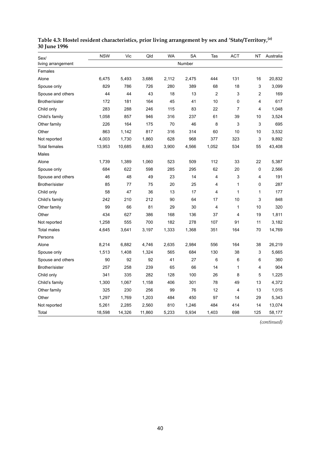| Sex/                 | <b>NSW</b> | Vic    | Qld    | <b>WA</b> | <b>SA</b> | Tas   | <b>ACT</b>     | <b>NT</b>      | Australia |
|----------------------|------------|--------|--------|-----------|-----------|-------|----------------|----------------|-----------|
| living arrangement   |            |        |        |           | Number    |       |                |                |           |
| Females              |            |        |        |           |           |       |                |                |           |
| Alone                | 6,475      | 5,493  | 3,686  | 2,112     | 2,475     | 444   | 131            | 16             | 20,832    |
| Spouse only          | 829        | 786    | 726    | 280       | 389       | 68    | 18             | 3              | 3,099     |
| Spouse and others    | 44         | 44     | 43     | 18        | 13        | 2     | 3              | $\overline{c}$ | 169       |
| Brother/sister       | 172        | 181    | 164    | 45        | 41        | 10    | 0              | 4              | 617       |
| Child only           | 283        | 288    | 246    | 115       | 83        | 22    | $\overline{7}$ | 4              | 1,048     |
| Child's family       | 1,058      | 857    | 946    | 316       | 237       | 61    | 39             | 10             | 3,524     |
| Other family         | 226        | 164    | 175    | 70        | 46        | 8     | 3              | 3              | 695       |
| Other                | 863        | 1,142  | 817    | 316       | 314       | 60    | 10             | 10             | 3,532     |
| Not reported         | 4,003      | 1,730  | 1,860  | 628       | 968       | 377   | 323            | 3              | 9,892     |
| <b>Total females</b> | 13,953     | 10,685 | 8,663  | 3,900     | 4,566     | 1,052 | 534            | 55             | 43,408    |
| Males                |            |        |        |           |           |       |                |                |           |
| Alone                | 1,739      | 1,389  | 1,060  | 523       | 509       | 112   | 33             | 22             | 5,387     |
| Spouse only          | 684        | 622    | 598    | 285       | 295       | 62    | 20             | $\mathbf 0$    | 2,566     |
| Spouse and others    | 46         | 48     | 49     | 23        | 14        | 4     | 3              | $\overline{4}$ | 191       |
| Brother/sister       | 85         | 77     | 75     | 20        | 25        | 4     | 1              | 0              | 287       |
| Child only           | 58         | 47     | 36     | 13        | 17        | 4     | 1              | 1              | 177       |
| Child's family       | 242        | 210    | 212    | 90        | 64        | 17    | 10             | 3              | 848       |
| Other family         | 99         | 66     | 81     | 29        | 30        | 4     | 1              | 10             | 320       |
| Other                | 434        | 627    | 386    | 168       | 136       | 37    | 4              | 19             | 1,811     |
| Not reported         | 1,258      | 555    | 700    | 182       | 278       | 107   | 91             | 11             | 3,182     |
| <b>Total males</b>   | 4,645      | 3,641  | 3,197  | 1,333     | 1,368     | 351   | 164            | 70             | 14,769    |
| Persons              |            |        |        |           |           |       |                |                |           |
| Alone                | 8,214      | 6,882  | 4,746  | 2,635     | 2,984     | 556   | 164            | 38             | 26,219    |
| Spouse only          | 1,513      | 1,408  | 1,324  | 565       | 684       | 130   | 38             | 3              | 5,665     |
| Spouse and others    | 90         | 92     | 92     | 41        | 27        | 6     | 6              | 6              | 360       |
| Brother/sister       | 257        | 258    | 239    | 65        | 66        | 14    | 1              | 4              | 904       |
| Child only           | 341        | 335    | 282    | 128       | 100       | 26    | 8              | 5              | 1,225     |
| Child's family       | 1,300      | 1,067  | 1,158  | 406       | 301       | 78    | 49             | 13             | 4,372     |
| Other family         | 325        | 230    | 256    | 99        | 76        | 12    | 4              | 13             | 1,015     |
| Other                | 1,297      | 1,769  | 1,203  | 484       | 450       | 97    | 14             | 29             | 5,343     |
| Not reported         | 5,261      | 2,285  | 2,560  | 810       | 1,246     | 484   | 414            | 14             | 13,074    |
| Total                | 18,598     | 14,326 | 11,860 | 5,233     | 5,934     | 1,403 | 698            | 125            | 58,177    |

**Table 4.3: Hostel resident characteristics, prior living arrangement by sex and 'State/Territory,(a) 30 June 1996**

*(continued)*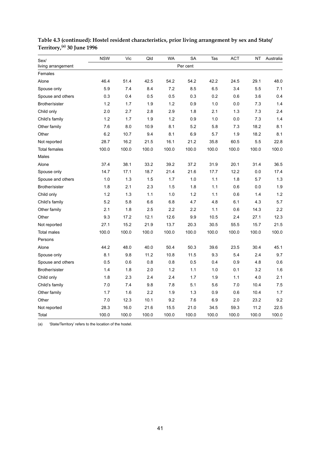| Sex/                 | <b>NSW</b> | Vic   | Qld   | <b>WA</b> | <b>SA</b> | Tas   | <b>ACT</b> | NT      | Australia |
|----------------------|------------|-------|-------|-----------|-----------|-------|------------|---------|-----------|
| living arrangement   |            |       |       |           | Per cent  |       |            |         |           |
| Females              |            |       |       |           |           |       |            |         |           |
| Alone                | 46.4       | 51.4  | 42.5  | 54.2      | 54.2      | 42.2  | 24.5       | 29.1    | 48.0      |
| Spouse only          | 5.9        | 7.4   | 8.4   | 7.2       | 8.5       | 6.5   | 3.4        | 5.5     | 7.1       |
| Spouse and others    | 0.3        | 0.4   | 0.5   | 0.5       | 0.3       | 0.2   | 0.6        | 3.6     | 0.4       |
| Brother/sister       | 1.2        | 1.7   | 1.9   | 1.2       | 0.9       | 1.0   | 0.0        | 7.3     | 1.4       |
| Child only           | 2.0        | 2.7   | 2.8   | 2.9       | 1.8       | 2.1   | 1.3        | 7.3     | 2.4       |
| Child's family       | 1.2        | 1.7   | 1.9   | 1.2       | 0.9       | 1.0   | 0.0        | 7.3     | 1.4       |
| Other family         | 7.6        | 8.0   | 10.9  | 8.1       | 5.2       | 5.8   | 7.3        | 18.2    | 8.1       |
| Other                | 6.2        | 10.7  | 9.4   | 8.1       | 6.9       | 5.7   | 1.9        | 18.2    | 8.1       |
| Not reported         | 28.7       | 16.2  | 21.5  | 16.1      | 21.2      | 35.8  | 60.5       | 5.5     | 22.8      |
| <b>Total females</b> | 100.0      | 100.0 | 100.0 | 100.0     | 100.0     | 100.0 | 100.0      | 100.0   | 100.0     |
| Males                |            |       |       |           |           |       |            |         |           |
| Alone                | 37.4       | 38.1  | 33.2  | 39.2      | 37.2      | 31.9  | 20.1       | 31.4    | 36.5      |
| Spouse only          | 14.7       | 17.1  | 18.7  | 21.4      | 21.6      | 17.7  | 12.2       | $0.0\,$ | 17.4      |
| Spouse and others    | 1.0        | 1.3   | 1.5   | 1.7       | 1.0       | 1.1   | 1.8        | 5.7     | 1.3       |
| Brother/sister       | 1.8        | 2.1   | 2.3   | 1.5       | 1.8       | 1.1   | 0.6        | 0.0     | 1.9       |
| Child only           | 1.2        | 1.3   | 1.1   | 1.0       | 1.2       | 1.1   | 0.6        | 1.4     | 1.2       |
| Child's family       | 5.2        | 5.8   | 6.6   | 6.8       | 4.7       | 4.8   | 6.1        | 4.3     | 5.7       |
| Other family         | 2.1        | 1.8   | 2.5   | 2.2       | 2.2       | 1.1   | 0.6        | 14.3    | 2.2       |
| Other                | 9.3        | 17.2  | 12.1  | 12.6      | 9.9       | 10.5  | 2.4        | 27.1    | 12.3      |
| Not reported         | 27.1       | 15.2  | 21.9  | 13.7      | 20.3      | 30.5  | 55.5       | 15.7    | 21.5      |
| <b>Total males</b>   | 100.0      | 100.0 | 100.0 | 100.0     | 100.0     | 100.0 | 100.0      | 100.0   | 100.0     |
| Persons              |            |       |       |           |           |       |            |         |           |
| Alone                | 44.2       | 48.0  | 40.0  | 50.4      | 50.3      | 39.6  | 23.5       | 30.4    | 45.1      |
| Spouse only          | 8.1        | 9.8   | 11.2  | 10.8      | 11.5      | 9.3   | 5.4        | 2.4     | 9.7       |
| Spouse and others    | 0.5        | 0.6   | 0.8   | 0.8       | 0.5       | 0.4   | 0.9        | 4.8     | 0.6       |
| Brother/sister       | 1.4        | 1.8   | 2.0   | 1.2       | 1.1       | 1.0   | 0.1        | 3.2     | 1.6       |
| Child only           | 1.8        | 2.3   | 2.4   | 2.4       | 1.7       | 1.9   | 1.1        | 4.0     | 2.1       |
| Child's family       | $7.0$      | 7.4   | 9.8   | 7.8       | 5.1       | 5.6   | 7.0        | 10.4    | 7.5       |
| Other family         | 1.7        | 1.6   | 2.2   | 1.9       | 1.3       | 0.9   | 0.6        | 10.4    | 1.7       |
| Other                | 7.0        | 12.3  | 10.1  | 9.2       | 7.6       | 6.9   | 2.0        | 23.2    | 9.2       |
| Not reported         | 28.3       | 16.0  | 21.6  | 15.5      | 21.0      | 34.5  | 59.3       | 11.2    | 22.5      |
| Total                | 100.0      | 100.0 | 100.0 | 100.0     | 100.0     | 100.0 | 100.0      | 100.0   | 100.0     |

### **Table 4.3 (continued): Hostel resident characteristics, prior living arrangement by sex and State/ Territory,(a) 30 June 1996**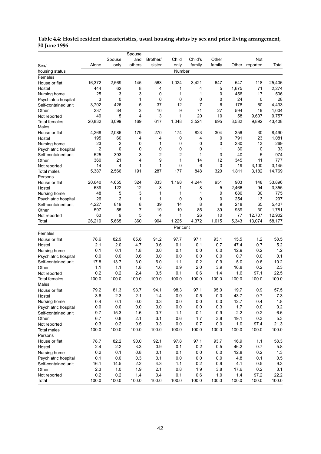|                              |       |                | Spouse       |          |             |         |        |       |          |        |
|------------------------------|-------|----------------|--------------|----------|-------------|---------|--------|-------|----------|--------|
|                              |       | Spouse         | and          | Brother/ | Child       | Child's | Other  |       | Not      |        |
| Alone<br>Sex/                |       | only           | others       | sister   | only        | family  | family | Other | reported | Total  |
| housing status               |       |                |              |          | Number      |         |        |       |          |        |
| Females                      |       |                |              |          |             |         |        |       |          |        |
| 16,372<br>House or flat      |       | 2,569          | 145          | 563      | 1,024       | 3,421   | 647    | 547   | 118      | 25,406 |
| Hostel                       | 444   | 62             | 8            | 4        | 1           | 4       | 5      | 1,675 | 71       | 2,274  |
| Nursing home                 | 25    | 3              | 3            | 0        | 1           | 1       | 0      | 456   | 17       | 506    |
| Psychiatric hospital         | 3     | 0              | 1            | 0        | 0           | 0       | 0      | 24    | 0        | 28     |
| Self-contained unit          | 3,702 | 426            | 5            | 37       | 12          | 7       | 6      | 178   | 60       | 4,433  |
| Other                        | 237   | 34             | 3            | 10       | 9           | 71      | 27     | 594   | 19       | 1,004  |
| Not reported                 | 49    | 5              | 4            | 3        | 1           | 20      | 10     | 58    | 9,607    | 9,757  |
| 20,832<br>Total females      |       | 3,099          | 169          | 617      | 1,048       | 3,524   | 695    | 3,532 | 9,892    | 43,408 |
| Males                        |       |                |              |          |             |         |        |       |          |        |
| House or flat                | 4,268 | 2,086          | 179          | 270      | 174         | 823     | 304    | 356   | 30       | 8,490  |
| Hostel                       | 195   | 60             | 4            | 4        | 0           | 4       | 0      | 791   | 23       | 1,081  |
| Nursing home                 | 23    | 2              | 0            | 1        | 0           | 0       | 0      | 230   | 13       | 269    |
| Psychiatric hospital         | 2     | 0              | 0            | 0        | 0           | 0       | 1      | 30    | 0        | 33     |
| Self-contained unit          | 525   | 393            | 3            | 2        | 2           | 1       | 3      | 40    | 5        | 974    |
| Other                        | 360   | 21             | 4            | 9        | 1           | 14      | 12     | 345   | 11       | 777    |
| Not reported                 | 14    | 4              | $\mathbf{1}$ | 1        | 0           | 6       | 0      | 19    | 3.100    | 3,145  |
| Total males<br>Persons       | 5,387 | 2,566          | 191          | 287      | 177         | 848     | 320    | 1,811 | 3,182    | 14,769 |
| 20,640<br>House or flat      |       | 4,655          | 324          | 833      | 1,198       | 4,244   | 951    | 903   | 148      | 33,896 |
| Hostel                       | 639   | 122            | 12           | 8        | 1           | 8       | 5      | 2,466 | 94       | 3,355  |
| Nursing home                 | 48    | 5              | 3            | 1        | 1           | 1       | 0      | 686   | 30       | 775    |
| Psychiatric hospital         | 26    | $\overline{2}$ | 1            | 1        | $\mathbf 0$ | 0       | 0      | 254   | 13       | 297    |
| 4,227<br>Self-contained unit |       | 819            | 8            | 39       | 14          | 8       | 9      | 218   | 65       | 5,407  |
| Other                        | 597   | 55             | 7            | 19       | 10          | 85      | 39     | 939   | 30       | 1,781  |
| Not reported                 | 63    | 9              | 5            | 4        | 1           | 26      | 10     | 77    | 12,707   | 12,902 |
| 26,219<br>Total              |       | 5,665          | 360          | 904      | 1,225       | 4,372   | 1,015  | 5,343 | 13,074   | 58,177 |
|                              |       |                |              |          | Per cent    |         |        |       |          |        |
| Females                      |       |                |              |          |             |         |        |       |          |        |
| House or flat                | 78.6  | 82.9           | 85.8         | 91.2     | 97.7        | 97.1    | 93.1   | 15.5  | 1.2      | 58.5   |
| Hostel                       | 2.1   | 2.0            | 4.7          | 0.6      | 0.1         | 0.1     | 0.7    | 47.4  | 0.7      | 5.2    |
| Nursing home                 | 0.1   | 0.1            | 1.8          | 0.0      | 0.1         | 0.0     | 0.0    | 12.9  | 0.2      | 1.2    |
| Psychiatric hospital         | 0.0   | 0.0            | 0.6          | 0.0      | 0.0         | 0.0     | 0.0    | 0.7   | 0.0      | 0.1    |
| Self-contained unit          | 17.8  | 13.7           | 3.0          | 6.0      | 1.1         | 0.2     | 0.9    | 5.0   | 0.6      | 10.2   |
| Other                        | 1.1   | 1.1            | 1.8          | 1.6      | 0.9         | 2.0     | 3.9    | 16.8  | 0.2      | 2.3    |
| Not reported                 | 0.2   | 0.2            | 2.4          | 0.5      | 0.1         | 0.6     | 1.4    | 1.6   | 97.1     | 22.5   |
| Total females                | 100.0 | 100.0          | 100.0        | 100.0    | 100.0       | 100.0   | 100.0  | 100.0 | 100.0    | 100.0  |
| Males                        |       |                |              |          |             |         |        |       |          |        |
| House or flat                | 79.2  | 81.3           | 93.7         | 94.1     | 98.3        | 97.1    | 95.0   | 19.7  | 0.9      | 57.5   |
| Hostel                       | 3.6   | 2.3            | 2.1          | 1.4      | 0.0         | 0.5     | 0.0    | 43.7  | 0.7      | 7.3    |
| Nursing home                 | 0.4   | 0.1            | 0.0          | 0.3      | 0.0         | 0.0     | 0.0    | 12.7  | 0.4      | 1.8    |
| Psychiatric hospital         | 0.0   | 0.0            | 0.0          | 0.0      | 0.0         | 0.0     | 0.3    | 1.7   | 0.0      | 0.2    |
| Self-contained unit          | 9.7   | 15.3           | 1.6          | 0.7      | 1.1         | 0.1     | 0.9    | 2.2   | 0.2      | 6.6    |
| Other                        | 6.7   | 0.8            | 2.1          | 3.1      | 0.6         | 1.7     | 3.8    | 19.1  | 0.3      | 5.3    |
| Not reported                 | 0.3   | 0.2            | 0.5          | 0.3      | 0.0         | 0.7     | 0.0    | 1.0   | 97.4     | 21.3   |
| Total males                  | 100.0 | 100.0          | 100.0        | 100.0    | 100.0       | 100.0   | 100.0  | 100.0 | 100.0    | 100.0  |
| Persons                      |       |                |              |          |             |         |        |       |          |        |
| House or flat                | 78.7  | 82.2           | 90.0         | 92.1     | 97.8        | 97.1    | 93.7   | 16.9  | 1.1      | 58.3   |
| Hostel                       | 2.4   | 2.2            | 3.3          | 0.9      | 0.1         | 0.2     | 0.5    | 46.2  | 0.7      | 5.8    |
| Nursing home                 | 0.2   | 0.1            | 0.8          | 0.1      | 0.1         | 0.0     | 0.0    | 12.8  | 0.2      | 1.3    |
| Psychiatric hospital         | 0.1   | 0.0            | 0.3          | 0.1      | 0.0         | $0.0\,$ | 0.0    | 4.8   | 0.1      | 0.5    |
| Self-contained unit          | 16.1  | 14.5           | 2.2          | 4.3      | 1.1         | 0.2     | 0.9    | 4.1   | 0.5      | 9.3    |
| Other                        | 2.3   | 1.0            | 1.9          | 2.1      | 0.8         | 1.9     | 3.8    | 17.6  | 0.2      | 3.1    |
| Not reported                 | 0.2   | 0.2            | 1.4          | 0.4      | 0.1         | 0.6     | 1.0    | 1.4   | 97.2     | 22.2   |
| Total                        | 100.0 | 100.0          | 100.0        | 100.0    | 100.0       | 100.0   | 100.0  | 100.0 | 100.0    | 100.0  |

#### **Table 4.4: Hostel resident characteristics, usual housing status by sex and prior living arrangement, 30 June 1996**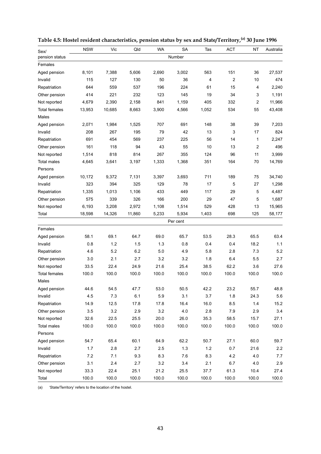| Sex/                 | <b>NSW</b> | Vic     | Qld    | WA    | <b>SA</b> | Tas   | ACT   | ΝT             | Australia |
|----------------------|------------|---------|--------|-------|-----------|-------|-------|----------------|-----------|
| pension status       |            |         |        |       | Number    |       |       |                |           |
| Females              |            |         |        |       |           |       |       |                |           |
| Aged pension         | 8,101      | 7,388   | 5,606  | 2,690 | 3,002     | 563   | 151   | 36             | 27,537    |
| Invalid              | 115        | 127     | 130    | 50    | 36        | 4     | 2     | 10             | 474       |
| Repatriation         | 644        | 559     | 537    | 196   | 224       | 61    | 15    | 4              | 2,240     |
| Other pension        | 414        | 221     | 232    | 123   | 145       | 19    | 34    | 3              | 1,191     |
| Not reported         | 4,679      | 2,390   | 2,158  | 841   | 1,159     | 405   | 332   | $\overline{2}$ | 11,966    |
| <b>Total females</b> | 13,953     | 10,685  | 8,663  | 3,900 | 4,566     | 1,052 | 534   | 55             | 43,408    |
| Males                |            |         |        |       |           |       |       |                |           |
| Aged pension         | 2,071      | 1,984   | 1,525  | 707   | 691       | 148   | 38    | 39             | 7,203     |
| Invalid              | 208        | 267     | 195    | 79    | 42        | 13    | 3     | 17             | 824       |
| Repatriation         | 691        | 454     | 569    | 237   | 225       | 56    | 14    | 1              | 2,247     |
| Other pension        | 161        | 118     | 94     | 43    | 55        | 10    | 13    | 2              | 496       |
| Not reported         | 1,514      | 818     | 814    | 267   | 355       | 124   | 96    | 11             | 3,999     |
| <b>Total males</b>   | 4,645      | 3,641   | 3,197  | 1,333 | 1,368     | 351   | 164   | 70             | 14,769    |
| Persons              |            |         |        |       |           |       |       |                |           |
| Aged pension         | 10,172     | 9,372   | 7,131  | 3,397 | 3,693     | 711   | 189   | 75             | 34,740    |
| Invalid              | 323        | 394     | 325    | 129   | 78        | 17    | 5     | 27             | 1,298     |
| Repatriation         | 1,335      | 1,013   | 1,106  | 433   | 449       | 117   | 29    | 5              | 4,487     |
| Other pension        | 575        | 339     | 326    | 166   | 200       | 29    | 47    | 5              | 1,687     |
| Not reported         | 6,193      | 3,208   | 2,972  | 1,108 | 1,514     | 529   | 428   | 13             | 15,965    |
| Total                | 18,598     | 14,326  | 11,860 | 5,233 | 5,934     | 1,403 | 698   | 125            | 58,177    |
|                      |            |         |        |       | Per cent  |       |       |                |           |
| Females              |            |         |        |       |           |       |       |                |           |
| Aged pension         | 58.1       | 69.1    | 64.7   | 69.0  | 65.7      | 53.5  | 28.3  | 65.5           | 63.4      |
| Invalid              | 0.8        | 1.2     | 1.5    | 1.3   | 0.8       | 0.4   | 0.4   | 18.2           | 1.1       |
| Repatriation         | 4.6        | 5.2     | 6.2    | 5.0   | 4.9       | 5.8   | 2.8   | 7.3            | 5.2       |
| Other pension        | 3.0        | 2.1     | 2.7    | 3.2   | 3.2       | 1.8   | 6.4   | 55             | 2.7       |
| Not reported         | 33.5       | 22.4    | 24.9   | 21.6  | 25.4      | 38.5  | 62.2  | 3.6            | 27.6      |
| Total females        | 100.0      | 100.0   | 100.0  | 100.0 | 100.0     | 100.0 | 100.0 | 100.0          | 100.0     |
| Males                |            |         |        |       |           |       |       |                |           |
| Aged pension         | 44.6       | 54.5    | 47.7   | 53.0  | 50.5      | 42.2  | 23.2  | 55.7           | 48.8      |
| Invalid              | 4.5        | 7.3     | 6.1    | 5.9   | 3.1       | 3.7   | 1.8   | 24.3           | 5.6       |
| Repatriation         | 14.9       | 12.5    | 17.8   | 17.8  | 16.4      | 16.0  | 8.5   | 1.4            | 15.2      |
| Other pension        | 3.5        | $3.2\,$ | 2.9    | 3.2   | $4.0$     | 2.8   | $7.9$ | 2.9            | 3.4       |
| Not reported         | 32.6       | 22.5    | 25.5   | 20.0  | 26.0      | 35.3  | 58.5  | 15.7           | 27.1      |
| Total males          | 100.0      | 100.0   | 100.0  | 100.0 | 100.0     | 100.0 | 100.0 | 100.0          | 100.0     |
| Persons              |            |         |        |       |           |       |       |                |           |
| Aged pension         | 54.7       | 65.4    | 60.1   | 64.9  | 62.2      | 50.7  | 27.1  | 60.0           | 59.7      |
| Invalid              | 1.7        | 2.8     | 2.7    | 2.5   | 1.3       | 1.2   | 0.7   | 21.6           | 2.2       |
| Repatriation         | 7.2        | 7.1     | 9.3    | 8.3   | 7.6       | 8.3   | 4.2   | 4.0            | 7.7       |
| Other pension        | 3.1        | 2.4     | 2.7    | 3.2   | 3.4       | 2.1   | 6.7   | 4.0            | 2.9       |
| Not reported         | 33.3       | 22.4    | 25.1   | 21.2  | 25.5      | 37.7  | 61.3  | 10.4           | 27.4      |
| Total                | 100.0      | 100.0   | 100.0  | 100.0 | 100.0     | 100.0 | 100.0 | 100.0          | 100.0     |

**Table 4.5: Hostel resident characteristics, pension status by sex and State/Territory,(a) 30 June 1996**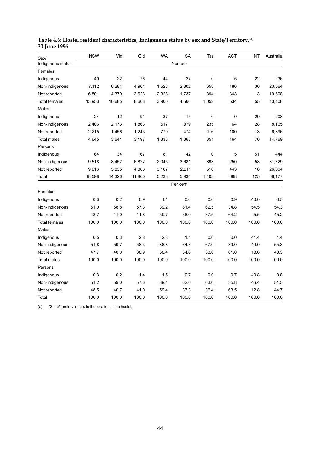| Sex/                 | <b>NSW</b> | Vic    | Qld    | <b>WA</b> | <b>SA</b> | Tas   | <b>ACT</b> | <b>NT</b> | Australia |
|----------------------|------------|--------|--------|-----------|-----------|-------|------------|-----------|-----------|
| Indigenous status    |            |        |        |           | Number    |       |            |           |           |
| Females              |            |        |        |           |           |       |            |           |           |
| Indigenous           | 40         | 22     | 76     | 44        | 27        | 0     | 5          | 22        | 236       |
| Non-Indigenous       | 7,112      | 6,284  | 4,964  | 1,528     | 2,802     | 658   | 186        | 30        | 23,564    |
| Not reported         | 6,801      | 4,379  | 3,623  | 2,328     | 1,737     | 394   | 343        | 3         | 19,608    |
| <b>Total females</b> | 13,953     | 10,685 | 8,663  | 3,900     | 4,566     | 1,052 | 534        | 55        | 43,408    |
| <b>Males</b>         |            |        |        |           |           |       |            |           |           |
| Indigenous           | 24         | 12     | 91     | 37        | 15        | 0     | $\pmb{0}$  | 29        | 208       |
| Non-Indigenous       | 2,406      | 2,173  | 1,863  | 517       | 879       | 235   | 64         | 28        | 8,165     |
| Not reported         | 2,215      | 1,456  | 1,243  | 779       | 474       | 116   | 100        | 13        | 6,396     |
| <b>Total males</b>   | 4,645      | 3,641  | 3,197  | 1,333     | 1,368     | 351   | 164        | 70        | 14,769    |
| Persons              |            |        |        |           |           |       |            |           |           |
| Indigenous           | 64         | 34     | 167    | 81        | 42        | 0     | 5          | 51        | 444       |
| Non-Indigenous       | 9,518      | 8,457  | 6,827  | 2,045     | 3,681     | 893   | 250        | 58        | 31,729    |
| Not reported         | 9,016      | 5,835  | 4,866  | 3,107     | 2,211     | 510   | 443        | 16        | 26,004    |
| Total                | 18,598     | 14,326 | 11,860 | 5,233     | 5,934     | 1,403 | 698        | 125       | 58,177    |
|                      |            |        |        |           | Per cent  |       |            |           |           |
| Females              |            |        |        |           |           |       |            |           |           |
| Indigenous           | 0.3        | 0.2    | 0.9    | 1.1       | 0.6       | 0.0   | 0.9        | 40.0      | 0.5       |
| Non-Indigenous       | 51.0       | 58.8   | 57.3   | 39.2      | 61.4      | 62.5  | 34.8       | 54.5      | 54.3      |
| Not reported         | 48.7       | 41.0   | 41.8   | 59.7      | 38.0      | 37.5  | 64.2       | 5.5       | 45.2      |
| <b>Total females</b> | 100.0      | 100.0  | 100.0  | 100.0     | 100.0     | 100.0 | 100.0      | 100.0     | 100.0     |
| Males                |            |        |        |           |           |       |            |           |           |
| Indigenous           | 0.5        | 0.3    | 2.8    | 2.8       | 1.1       | 0.0   | 0.0        | 41.4      | 1.4       |
| Non-Indigenous       | 51.8       | 59.7   | 58.3   | 38.8      | 64.3      | 67.0  | 39.0       | 40.0      | 55.3      |
| Not reported         | 47.7       | 40.0   | 38.9   | 58.4      | 34.6      | 33.0  | 61.0       | 18.6      | 43.3      |
| <b>Total males</b>   | 100.0      | 100.0  | 100.0  | 100.0     | 100.0     | 100.0 | 100.0      | 100.0     | 100.0     |
| Persons              |            |        |        |           |           |       |            |           |           |
| Indigenous           | 0.3        | 0.2    | 1.4    | 1.5       | 0.7       | 0.0   | 0.7        | 40.8      | 0.8       |
| Non-Indigenous       | 51.2       | 59.0   | 57.6   | 39.1      | 62.0      | 63.6  | 35.8       | 46.4      | 54.5      |
| Not reported         | 48.5       | 40.7   | 41.0   | 59.4      | 37.3      | 36.4  | 63.5       | 12.8      | 44.7      |
| Total                | 100.0      | 100.0  | 100.0  | 100.0     | 100.0     | 100.0 | 100.0      | 100.0     | 100.0     |

#### **Table 4.6: Hostel resident characteristics, Indigenous status by sex and State/Territory,(a) 30 June 1996**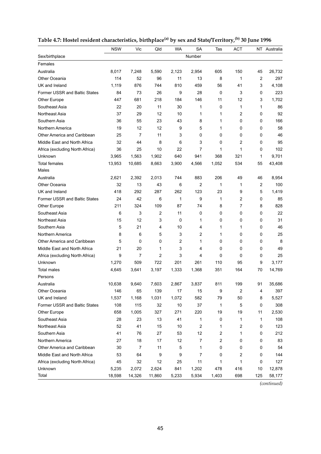|                                 | <b>NSW</b> | Vic            | Qld            | <b>WA</b> | <b>SA</b>      | Tas            | <b>ACT</b>              |                | NT Australia |
|---------------------------------|------------|----------------|----------------|-----------|----------------|----------------|-------------------------|----------------|--------------|
| Sex/birthplace                  |            |                |                |           | Number         |                |                         |                |              |
| Females                         |            |                |                |           |                |                |                         |                |              |
| Australia                       | 8,017      | 7,248          | 5,590          | 2,123     | 2,954          | 605            | 150                     | 45             | 26,732       |
| Other Oceania                   | 114        | 52             | 96             | 11        | 13             | 8              | 1                       | $\overline{2}$ | 297          |
| UK and Ireland                  | 1,119      | 876            | 744            | 810       | 459            | 56             | 41                      | 3              | 4,108        |
| Former USSR and Baltic States   | 84         | 73             | 26             | 9         | 28             | $\mathbf 0$    | 3                       | 0              | 223          |
| Other Europe                    | 447        | 681            | 218            | 184       | 146            | 11             | 12                      | 3              | 1,702        |
| Southeast Asia                  | 22         | 20             | 11             | 30        | 1              | 0              | 1                       | 1              | 86           |
| Northeast Asia                  | 37         | 29             | 12             | 10        | 1              | 1              | 2                       | 0              | 92           |
| Southern Asia                   | 36         | 55             | 23             | 43        | 8              | 1              | 0                       | 0              | 166          |
| Northern America                | 19         | 12             | 12             | 9         | 5              | 1              | 0                       | 0              | 58           |
| Other America and Caribbean     | 25         | $\overline{7}$ | 11             | 3         | 0              | 0              | 0                       | 0              | 46           |
| Middle East and North Africa    | 32         | 44             | 8              | 6         | 3              | 0              | 2                       | 0              | 95           |
| Africa (excluding North Africa) | 36         | 25             | 10             | 22        | 7              | 1              | 1                       | 0              | 102          |
| Unknown                         | 3,965      | 1,563          | 1,902          | 640       | 941            | 368            | 321                     | 1              | 9,701        |
| <b>Total females</b>            | 13,953     | 10,685         | 8,663          | 3,900     | 4,566          | 1,052          | 534                     | 55             | 43,408       |
| Males                           |            |                |                |           |                |                |                         |                |              |
| Australia                       | 2,621      | 2,392          | 2,013          | 744       | 883            | 206            | 49                      | 46             | 8,954        |
| Other Oceania                   | 32         | 13             | 43             | 6         | $\overline{2}$ | 1              | 1                       | $\overline{2}$ | 100          |
| UK and Ireland                  | 418        | 292            | 287            | 262       | 123            | 23             | 9                       | 5              | 1,419        |
| Former USSR and Baltic States   | 24         | 42             | 6              | 1         | 9              | 1              | 2                       | 0              | 85           |
| <b>Other Europe</b>             | 211        | 324            | 109            | 87        | 74             | 8              | 7                       | 8              | 828          |
| Southeast Asia                  | 6          | 3              | 2              | 11        | 0              | 0              | 0                       | 0              | 22           |
| Northeast Asia                  | 15         | 12             | 3              | 0         | 1              | 0              | 0                       | 0              | 31           |
| Southern Asia                   | 5          | 21             | 4              | 10        | 4              | 1              | 1                       | 0              | 46           |
| Northern America                | 8          | 6              | 5              | 3         | 2              | 1              | 0                       | 0              | 25           |
| Other America and Caribbean     | 5          | 0              | 0              | 2         | 1              | 0              | 0                       | 0              | 8            |
| Middle East and North Africa    | 21         | 20             | 1              | 3         | 4              | 0              | 0                       | 0              | 49           |
| Africa (excluding North Africa) | 9          | $\overline{7}$ | $\overline{2}$ | 3         | 4              | 0              | 0                       | 0              | 25           |
| Unknown                         | 1,270      | 509            | 722            | 201       | 261            | 110            | 95                      | 9              | 3,177        |
| <b>Total males</b>              | 4,645      | 3,641          | 3,197          | 1,333     | 1,368          | 351            | 164                     | 70             | 14,769       |
| Persons                         |            |                |                |           |                |                |                         |                |              |
| Australia                       | 10,638     | 9,640          | 7,603          | 2,867     | 3,837          | 811            | 199                     | 91             | 35,686       |
| Other Oceania                   | 146        | 65             | 139            | 17        | 15             | 9              | $\overline{\mathbf{c}}$ | 4              | 397          |
| UK and Ireland                  | 1,537      | 1,168          | 1,031          | 1,072     | 582            | 79             | 50                      | 8              | 5,527        |
| Former USSR and Baltic States   | 108        | 115            | 32             | 10        | 37             | $\mathbf{1}$   | 5                       | 0              | 308          |
| Other Europe                    | 658        | 1,005          | 327            | 271       | 220            | 19             | 19                      | 11             | 2,530        |
| Southeast Asia                  | 28         | 23             | 13             | 41        | 1              | 0              | 1                       | 1              | 108          |
| Northeast Asia                  | 52         | 41             | 15             | 10        | 2              | 1              | 2                       | 0              | 123          |
| Southern Asia                   | 41         | 76             | 27             | 53        | 12             | 2              | 1                       | 0              | 212          |
| Northern America                | 27         | 18             | 17             | 12        | 7              | $\overline{2}$ | 0                       | 0              | 83           |
| Other America and Caribbean     | 30         | 7              | 11             | 5         | 1              | 0              | 0                       | 0              | 54           |
| Middle East and North Africa    | 53         | 64             | 9              | 9         | 7              | 0              | 2                       | 0              | 144          |
| Africa (excluding North Africa) | 45         | 32             | 12             | 25        | 11             | 1              | 1                       | 0              | 127          |
| Unknown                         | 5,235      | 2,072          | 2,624          | 841       | 1,202          | 478            | 416                     | 10             | 12,878       |
| Total                           | 18,598     | 14,326         | 11,860         | 5,233     | 5,934          | 1,403          | 698                     | 125            | 58,177       |

### Table 4.7: Hostel resident characteristics, birthplace<sup>(a)</sup> by sex and State/Territory,<sup>(b)</sup> 30 June 1996

*(continued)*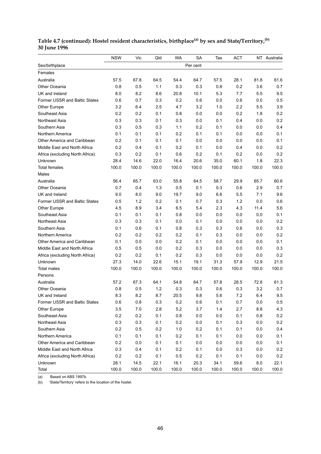|                                 | <b>NSW</b> | Vic   | Qld   | WA    | <b>SA</b> | Tas   | ACT     |         | NT Australia |
|---------------------------------|------------|-------|-------|-------|-----------|-------|---------|---------|--------------|
| Sex/birthplace                  |            |       |       |       | Per cent  |       |         |         |              |
| Females                         |            |       |       |       |           |       |         |         |              |
| Australia                       | 57.5       | 67.8  | 64.5  | 54.4  | 64.7      | 57.5  | 28.1    | 81.8    | 61.6         |
| Other Oceania                   | 0.8        | 0.5   | 1.1   | 0.3   | 0.3       | 0.8   | 0.2     | 3.6     | 0.7          |
| UK and Ireland                  | 8.0        | 8.2   | 8.6   | 20.8  | 10.1      | 5.3   | 7.7     | 5.5     | 9.5          |
| Former USSR and Baltic States   | 0.6        | 0.7   | 0.3   | 0.2   | 0.6       | 0.0   | 0.6     | 0.0     | 0.5          |
| Other Europe                    | 3.2        | 6.4   | 2.5   | 4.7   | 3.2       | 1.0   | 2.2     | 5.5     | 3.9          |
| Southeast Asia                  | 0.2        | 0.2   | 0.1   | 0.8   | 0.0       | 0.0   | 0.2     | 1.8     | 0.2          |
| Northeast Asia                  | 0.3        | 0.3   | 0.1   | 0.3   | 0.0       | 0.1   | 0.4     | 0.0     | 0.2          |
| Southern Asia                   | 0.3        | 0.5   | 0.3   | 1.1   | 0.2       | 0.1   | 0.0     | 0.0     | 0.4          |
| Northern America                | 0.1        | 0.1   | 0.1   | 0.2   | 0.1       | 0.1   | 0.0     | 0.0     | 0.1          |
| Other America and Caribbean     | 0.2        | 0.1   | 0.1   | 0.1   | 0.0       | 0.0   | 0.0     | 0.0     | 0.1          |
| Middle East and North Africa    | 0.2        | 0.4   | 0.1   | 0.2   | 0.1       | 0.0   | 0.4     | 0.0     | 0.2          |
| Africa (excluding North Africa) | 0.3        | 0.2   | 0.1   | 0.6   | 0.2       | 0.1   | 0.2     | 0.0     | 0.2          |
| Unknown                         | 28.4       | 14.6  | 22.0  | 16.4  | 20.6      | 35.0  | 60.1    | 1.8     | 22.3         |
| <b>Total females</b>            | 100.0      | 100.0 | 100.0 | 100.0 | 100.0     | 100.0 | 100.0   | 100.0   | 100.0        |
| Males                           |            |       |       |       |           |       |         |         |              |
| Australia                       | 56.4       | 65.7  | 63.0  | 55.8  | 64.5      | 58.7  | 29.9    | 65.7    | 60.6         |
| Other Oceania                   | 0.7        | 0.4   | 1.3   | 0.5   | 0.1       | 0.3   | 0.6     | 2.9     | 0.7          |
| UK and Ireland                  | 9.0        | 8.0   | 9.0   | 19.7  | 9.0       | 6.6   | 5.5     | 7.1     | 9.6          |
| Former USSR and Baltic States   | 0.5        | 1.2   | 0.2   | 0.1   | 0.7       | 0.3   | 1.2     | 0.0     | 0.6          |
| Other Europe                    | 4.5        | 8.9   | 3.4   | 6.5   | 5.4       | 2.3   | 4.3     | 11.4    | 5.6          |
| Southeast Asia                  | 0.1        | 0.1   | 0.1   | 0.8   | 0.0       | 0.0   | 0.0     | 0.0     | 0.1          |
| Northeast Asia                  | 0.3        | 0.3   | 0.1   | 0.0   | 0.1       | 0.0   | 0.0     | 0.0     | 0.2          |
| Southern Asia                   | 0.1        | 0.6   | 0.1   | 0.8   | 0.3       | 0.3   | 0.6     | 0.0     | 0.3          |
| Northern America                | 0.2        | 0.2   | 0.2   | 0.2   | 0.1       | 0.3   | 0.0     | 0.0     | 0.2          |
| Other America and Caribbean     | 0.1        | 0.0   | 0.0   | 0.2   | 0.1       | 0.0   | 0.0     | 0.0     | 0.1          |
| Middle East and North Africa    | 0.5        | 0.5   | 0.0   | 0.2   | 0.3       | 0.0   | 0.0     | 0.0     | 0.3          |
| Africa (excluding North Africa) | 0.2        | 0.2   | 0.1   | 0.2   | 0.3       | 0.0   | 0.0     | 0.0     | 0.2          |
| Unknown                         | 27.3       | 14.0  | 22.6  | 15.1  | 19.1      | 31.3  | 57.9    | 12.9    | 21.5         |
| <b>Total males</b>              | 100.0      | 100.0 | 100.0 | 100.0 | 100.0     | 100.0 | 100.0   | 100.0   | 100.0        |
| Persons                         |            |       |       |       |           |       |         |         |              |
| Australia                       | 57.2       | 67.3  | 64.1  | 54.8  | 64.7      | 57.8  | 28.5    | 72.8    | 61.3         |
| Other Oceania                   | 0.8        | 0.5   | 1.2   | 0.3   | 0.3       | 0.6   | 0.3     | 3.2     | 0.7          |
| UK and Ireland                  | 8.3        | 8.2   | 8.7   | 20.5  | 9.8       | 5.6   | 7.2     | 6.4     | 9.5          |
| Former USSR and Baltic States   | 0.6        | 0.8   | 0.3   | 0.2   | 0.6       | 0.1   | 0.7     | 0.0     | 0.5          |
| Other Europe                    | 3.5        | 7.0   | 2.8   | 5.2   | 3.7       | 1.4   | 2.7     | 8.8     | 4.3          |
| Southeast Asia                  | 0.2        | 0.2   | 0.1   | 0.8   | 0.0       | 0.0   | 0.1     | 0.8     | 0.2          |
| Northeast Asia                  | 0.3        | 0.3   | 0.1   | 0.2   | 0.0       | 0.1   | 0.3     | $0.0\,$ | 0.2          |
| Southern Asia                   | 0.2        | 0.5   | 0.2   | 1.0   | 0.2       | 0.1   | 0.1     | 0.0     | 0.4          |
| Northern America                | 0.1        | 0.1   | 0.1   | 0.2   | 0.1       | 0.1   | $0.0\,$ | 0.0     | 0.1          |
| Other America and Caribbean     | 0.2        | 0.0   | 0.1   | 0.1   | 0.0       | 0.0   | 0.0     | 0.0     | 0.1          |
| Middle East and North Africa    | 0.3        | 0.4   | 0.1   | 0.2   | 0.1       | 0.0   | 0.3     | 0.0     | 0.2          |
| Africa (excluding North Africa) | 0.2        | 0.2   | 0.1   | 0.5   | 0.2       | 0.1   | 0.1     | 0.0     | 0.2          |
| Unknown                         | 28.1       | 14.5  | 22.1  | 16.1  | 20.3      | 34.1  | 59.6    | 8.0     | 22.1         |
| Total                           | 100.0      | 100.0 | 100.0 | 100.0 | 100.0     | 100.0 | 100.0   | 100.0   | 100.0        |

#### **Table 4.7 (continued): Hostel resident characteristics, birthplace(a) by sex and State/Territory,(b) 30 June 1996**

(a) Based on ABS 1997b.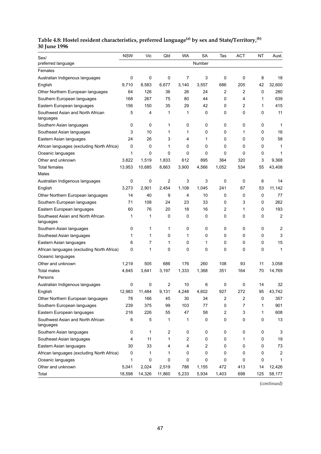#### **Table 4.8: Hostel resident characteristics, preferred language(a) by sex and State/Territory,(b) 30 June 1996**

| Sex/                                           | <b>NSW</b> | Vic    | Qld    | <b>WA</b> | <b>SA</b> | Tas                     | <b>ACT</b> | ΝT  | Aust.          |
|------------------------------------------------|------------|--------|--------|-----------|-----------|-------------------------|------------|-----|----------------|
| preferred language                             |            |        |        |           | Number    |                         |            |     |                |
| Females                                        |            |        |        |           |           |                         |            |     |                |
| Australian Indigenous languages                | 0          | 0      | 0      | 7         | 3         | 0                       | 0          | 8   | 18             |
| English                                        | 9,710      | 8.583  | 6,677  | 3,140     | 3,557     | 686                     | 205        | 42  | 32,600         |
| Other Northern European languages              | 64         | 126    | 36     | 26        | 24        | $\overline{c}$          | 2          | 0   | 280            |
| Southern European languages                    | 168        | 267    | 75     | 80        | 44        | 0                       | 4          | 1   | 639            |
| Eastern European languages                     | 156        | 150    | 35     | 29        | 42        | 0                       | 2          | 1   | 415            |
| Southwest Asian and North African<br>languages | 5          | 4      | 1      | 1         | 0         | 0                       | 0          | 0   | 11             |
| Southern Asian languages                       | 0          | 0      | 1      | 0         | 0         | 0                       | 0          | 0   | 1              |
| Southeast Asian languages                      | 3          | 10     | 1      | 1         | 0         | 0                       | 1          | 0   | 16             |
| Eastern Asian languages                        | 24         | 26     | 3      | 4         | 1         | 0                       | 0          | 0   | 58             |
| African languages (excluding North Africa)     | 0          | 0      | 1      | 0         | 0         | 0                       | 0          | 0   | 1              |
| Oceanic languages                              | 1          | 0      | 0      | 0         | 0         | 0                       | 0          | 0   | 1              |
| Other and unknown                              | 3,822      | 1,519  | 1,833  | 612       | 895       | 364                     | 320        | 3   | 9,368          |
| <b>Total females</b><br>Males                  | 13,953     | 10,685 | 8,663  | 3,900     | 4,566     | 1,052                   | 534        | 55  | 43,408         |
| Australian Indigenous languages                | 0          | 0      | 2      | 3         | 3         | 0                       | 0          | 6   | 14             |
| English                                        | 3,273      | 2,901  | 2,454  | 1,108     | 1,045     | 241                     | 67         | 53  | 11,142         |
| Other Northern European languages              | 14         | 40     | 9      | 4         | 10        | 0                       | 0          | 0   | 77             |
| Southern European languages                    | 71         | 108    | 24     | 23        | 33        | 0                       | 3          | 0   | 262            |
| Eastern European languages                     | 60         | 76     | 20     | 18        | 16        | 2                       | 1          | 0   | 193            |
| Southwest Asian and North African<br>languages | 1          | 1      | 0      | 0         | 0         | 0                       | 0          | 0   | $\overline{2}$ |
| Southern Asian languages                       | 0          | 1      | 1      | 0         | 0         | 0                       | 0          | 0   | 2              |
| Southeast Asian languages                      | 1          | 1      | 0      | 1         | 0         | 0                       | 0          | 0   | 3              |
| Eastern Asian languages                        | 6          | 7      | 1      | 0         | 1         | 0                       | 0          | 0   | 15             |
| African languages (excluding North Africa)     | 0          | 1      | 0      | 0         | 0         | 0                       | 0          | 0   | 1              |
| Oceanic languages                              |            |        |        |           |           |                         |            |     |                |
| Other and unknown                              | 1,219      | 505    | 686    | 176       | 260       | 108                     | 93         | 11  | 3,058          |
| Total males                                    | 4,645      | 3,641  | 3,197  | 1,333     | 1,368     | 351                     | 164        | 70  | 14,769         |
| Persons                                        |            |        |        |           |           |                         |            |     |                |
| Australian Indigenous languages                | 0          | 0      | 2      | 10        | 6         | 0                       | 0          | 14  | 32             |
| English                                        | 12,983     | 11,484 | 9.131  | 4,248     | 4.602     | 927                     | 272        | 95  | 43.742         |
| Other Northern European languages              | 78         | 166    | 45     | 30        | 34        | $\overline{\mathbf{c}}$ | 2          | 0   | 357            |
| Southern European languages                    | 239        | 375    | 99     | 103       | 77        | 0                       | 7          | 1   | 901            |
| Eastern European languages                     | 216        | 226    | 55     | 47        | 58        | 2                       | 3          | 1   | 608            |
| Southwest Asian and North African<br>languages | 6          | 5      | 1      | 1         | 0         | 0                       | 0          | 0   | 13             |
| Southern Asian languages                       | 0          | 1      | 2      | 0         | 0         | 0                       | 0          | 0   | 3              |
| Southeast Asian languages                      | 4          | 11     | 1      | 2         | 0         | 0                       | 1          | 0   | 19             |
| Eastern Asian languages                        | 30         | 33     | 4      | 4         | 2         | 0                       | 0          | 0   | 73             |
| African languages (excluding North Africa)     | 0          | 1      | 1      | 0         | 0         | 0                       | 0          | 0   | 2              |
| Oceanic languages                              | 1          | 0      | 0      | 0         | 0         | 0                       | 0          | 0   | 1              |
| Other and unknown                              | 5,041      | 2,024  | 2,519  | 788       | 1,155     | 472                     | 413        | 14  | 12,426         |
| Total                                          | 18,598     | 14,326 | 11,860 | 5,233     | 5,934     | 1,403                   | 698        | 125 | 58,177         |

*(continued)*